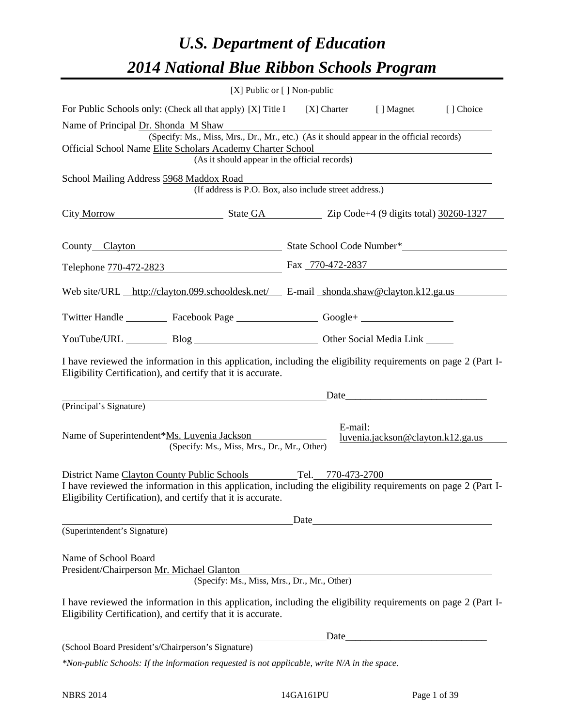### *U.S. Department of Education 2014 National Blue Ribbon Schools Program*

|                                                                                                                                                                                                                                                 | [X] Public or $[$ ] Non-public                                                                              |         |                                                                                                                                                                                                                               |           |  |  |  |  |  |
|-------------------------------------------------------------------------------------------------------------------------------------------------------------------------------------------------------------------------------------------------|-------------------------------------------------------------------------------------------------------------|---------|-------------------------------------------------------------------------------------------------------------------------------------------------------------------------------------------------------------------------------|-----------|--|--|--|--|--|
| For Public Schools only: (Check all that apply) [X] Title I [X] Charter [] Magnet                                                                                                                                                               |                                                                                                             |         |                                                                                                                                                                                                                               | [] Choice |  |  |  |  |  |
| Name of Principal Dr. Shonda M Shaw                                                                                                                                                                                                             | (Specify: Ms., Miss, Mrs., Dr., Mr., etc.) (As it should appear in the official records)                    |         |                                                                                                                                                                                                                               |           |  |  |  |  |  |
|                                                                                                                                                                                                                                                 | Official School Name Elite Scholars Academy Charter School<br>(As it should appear in the official records) |         |                                                                                                                                                                                                                               |           |  |  |  |  |  |
| School Mailing Address 5968 Maddox Road                                                                                                                                                                                                         |                                                                                                             |         |                                                                                                                                                                                                                               |           |  |  |  |  |  |
|                                                                                                                                                                                                                                                 | (If address is P.O. Box, also include street address.)                                                      |         |                                                                                                                                                                                                                               |           |  |  |  |  |  |
| City Morrow State GA Zip Code+4 (9 digits total) 30260-1327                                                                                                                                                                                     |                                                                                                             |         |                                                                                                                                                                                                                               |           |  |  |  |  |  |
| County_Clayton County_Clayton County_Clayton County_Clayton County_Clayton County_Clayton County_Clayton Count                                                                                                                                  |                                                                                                             |         |                                                                                                                                                                                                                               |           |  |  |  |  |  |
| Telephone 770-472-2823 Fax 770-472-2837                                                                                                                                                                                                         |                                                                                                             |         |                                                                                                                                                                                                                               |           |  |  |  |  |  |
| Web site/URL http://clayton.099.schooldesk.net/ E-mail shonda.shaw@clayton.k12.ga.us                                                                                                                                                            |                                                                                                             |         |                                                                                                                                                                                                                               |           |  |  |  |  |  |
| Twitter Handle ___________ Facebook Page ___________________ Google+ ____________                                                                                                                                                               |                                                                                                             |         |                                                                                                                                                                                                                               |           |  |  |  |  |  |
| YouTube/URL Blog Blog Cher Social Media Link                                                                                                                                                                                                    |                                                                                                             |         |                                                                                                                                                                                                                               |           |  |  |  |  |  |
| I have reviewed the information in this application, including the eligibility requirements on page 2 (Part I-<br>Eligibility Certification), and certify that it is accurate.                                                                  |                                                                                                             |         |                                                                                                                                                                                                                               |           |  |  |  |  |  |
|                                                                                                                                                                                                                                                 |                                                                                                             |         | Date and the same state of the same state of the same state of the same state of the same state of the same state of the same state of the same state of the same state of the same state of the same state of the same state |           |  |  |  |  |  |
| (Principal's Signature)                                                                                                                                                                                                                         |                                                                                                             |         |                                                                                                                                                                                                                               |           |  |  |  |  |  |
| Name of Superintendent*Ms. Luvenia Jackson                                                                                                                                                                                                      | (Specify: Ms., Miss, Mrs., Dr., Mr., Other)                                                                 | E-mail: | luvenia.jackson@clayton.k12.ga.us                                                                                                                                                                                             |           |  |  |  |  |  |
| District Name Clayton County Public Schools Tel. 770-473-2700<br>I have reviewed the information in this application, including the eligibility requirements on page 2 (Part I-<br>Eligibility Certification), and certify that it is accurate. |                                                                                                             |         |                                                                                                                                                                                                                               |           |  |  |  |  |  |
|                                                                                                                                                                                                                                                 |                                                                                                             | Date    |                                                                                                                                                                                                                               |           |  |  |  |  |  |
| (Superintendent's Signature)                                                                                                                                                                                                                    |                                                                                                             |         |                                                                                                                                                                                                                               |           |  |  |  |  |  |
| Name of School Board<br>President/Chairperson Mr. Michael Glanton                                                                                                                                                                               | (Specify: Ms., Miss, Mrs., Dr., Mr., Other)                                                                 |         |                                                                                                                                                                                                                               |           |  |  |  |  |  |
| I have reviewed the information in this application, including the eligibility requirements on page 2 (Part I-<br>Eligibility Certification), and certify that it is accurate.                                                                  |                                                                                                             |         |                                                                                                                                                                                                                               |           |  |  |  |  |  |
|                                                                                                                                                                                                                                                 |                                                                                                             |         |                                                                                                                                                                                                                               |           |  |  |  |  |  |
| (School Board President's/Chairperson's Signature)                                                                                                                                                                                              |                                                                                                             |         |                                                                                                                                                                                                                               |           |  |  |  |  |  |
| *Non-public Schools: If the information requested is not applicable, write N/A in the space.                                                                                                                                                    |                                                                                                             |         |                                                                                                                                                                                                                               |           |  |  |  |  |  |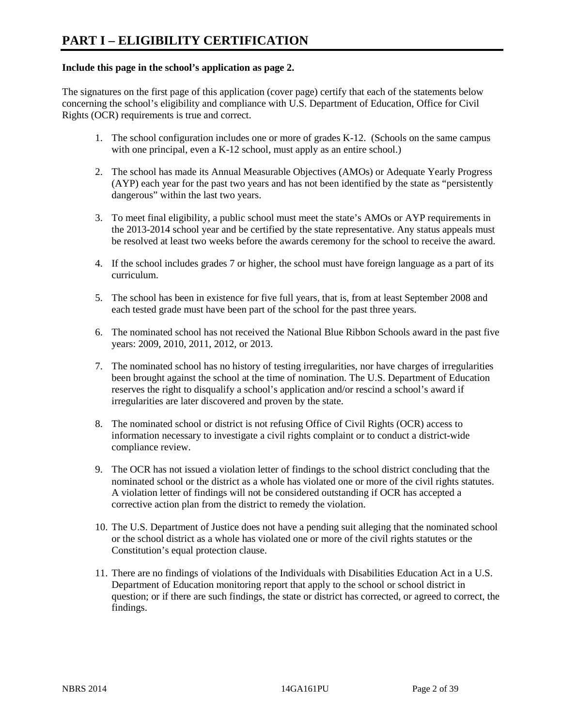#### **Include this page in the school's application as page 2.**

The signatures on the first page of this application (cover page) certify that each of the statements below concerning the school's eligibility and compliance with U.S. Department of Education, Office for Civil Rights (OCR) requirements is true and correct.

- 1. The school configuration includes one or more of grades K-12. (Schools on the same campus with one principal, even a K-12 school, must apply as an entire school.)
- 2. The school has made its Annual Measurable Objectives (AMOs) or Adequate Yearly Progress (AYP) each year for the past two years and has not been identified by the state as "persistently dangerous" within the last two years.
- 3. To meet final eligibility, a public school must meet the state's AMOs or AYP requirements in the 2013-2014 school year and be certified by the state representative. Any status appeals must be resolved at least two weeks before the awards ceremony for the school to receive the award.
- 4. If the school includes grades 7 or higher, the school must have foreign language as a part of its curriculum.
- 5. The school has been in existence for five full years, that is, from at least September 2008 and each tested grade must have been part of the school for the past three years.
- 6. The nominated school has not received the National Blue Ribbon Schools award in the past five years: 2009, 2010, 2011, 2012, or 2013.
- 7. The nominated school has no history of testing irregularities, nor have charges of irregularities been brought against the school at the time of nomination. The U.S. Department of Education reserves the right to disqualify a school's application and/or rescind a school's award if irregularities are later discovered and proven by the state.
- 8. The nominated school or district is not refusing Office of Civil Rights (OCR) access to information necessary to investigate a civil rights complaint or to conduct a district-wide compliance review.
- 9. The OCR has not issued a violation letter of findings to the school district concluding that the nominated school or the district as a whole has violated one or more of the civil rights statutes. A violation letter of findings will not be considered outstanding if OCR has accepted a corrective action plan from the district to remedy the violation.
- 10. The U.S. Department of Justice does not have a pending suit alleging that the nominated school or the school district as a whole has violated one or more of the civil rights statutes or the Constitution's equal protection clause.
- 11. There are no findings of violations of the Individuals with Disabilities Education Act in a U.S. Department of Education monitoring report that apply to the school or school district in question; or if there are such findings, the state or district has corrected, or agreed to correct, the findings.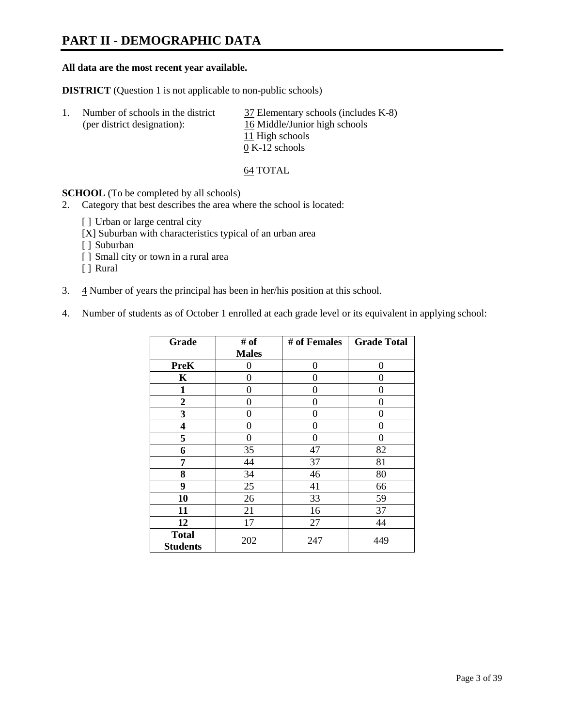### **PART II - DEMOGRAPHIC DATA**

#### **All data are the most recent year available.**

**DISTRICT** (Question 1 is not applicable to non-public schools)

| Number of schools in the district<br>(per district designation): | 37 Elementary schools (includes K-8)<br>16 Middle/Junior high schools |
|------------------------------------------------------------------|-----------------------------------------------------------------------|
|                                                                  | 11 High schools                                                       |
|                                                                  | $0 K-12$ schools                                                      |

64 TOTAL

**SCHOOL** (To be completed by all schools)

- 2. Category that best describes the area where the school is located:
	- [] Urban or large central city
	- [X] Suburban with characteristics typical of an urban area
	- [ ] Suburban
	- [ ] Small city or town in a rural area
	- [ ] Rural
- 3.  $\frac{4}{3}$  Number of years the principal has been in her/his position at this school.
- 4. Number of students as of October 1 enrolled at each grade level or its equivalent in applying school:

| Grade            | # of         | # of Females | <b>Grade Total</b> |
|------------------|--------------|--------------|--------------------|
|                  | <b>Males</b> |              |                    |
| <b>PreK</b>      | 0            | 0            | $\Omega$           |
| K                | 0            | 0            | 0                  |
| $\mathbf{1}$     | 0            | 0            | 0                  |
| $\boldsymbol{2}$ | 0            | 0            | 0                  |
| 3                | 0            | 0            | 0                  |
| 4                | 0            | 0            | 0                  |
| 5                | 0            | 0            | 0                  |
| 6                | 35           | 47           | 82                 |
| 7                | 44           | 37           | 81                 |
| 8                | 34           | 46           | 80                 |
| 9                | 25           | 41           | 66                 |
| 10               | 26           | 33           | 59                 |
| 11               | 21           | 16           | 37                 |
| 12               | 17           | 27           | 44                 |
| <b>Total</b>     | 202          | 247          | 449                |
| <b>Students</b>  |              |              |                    |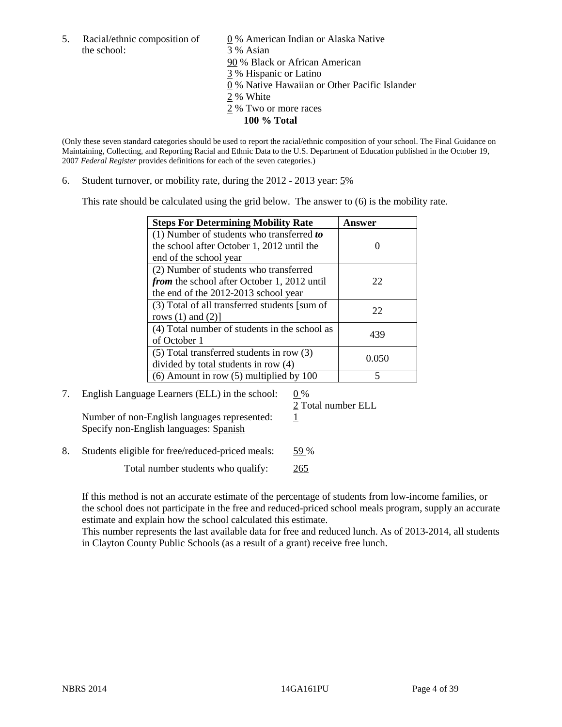- the school: 3 % Asian
- 5. Racial/ethnic composition of  $\qquad \qquad \underline{0}$  % American Indian or Alaska Native 90 % Black or African American 3 % Hispanic or Latino 0 % Native Hawaiian or Other Pacific Islander 2 % White
	- 2 % Two or more races
		- **100 % Total**

(Only these seven standard categories should be used to report the racial/ethnic composition of your school. The Final Guidance on Maintaining, Collecting, and Reporting Racial and Ethnic Data to the U.S. Department of Education published in the October 19, 2007 *Federal Register* provides definitions for each of the seven categories.)

6. Student turnover, or mobility rate, during the 2012 - 2013 year: 5%

This rate should be calculated using the grid below. The answer to (6) is the mobility rate.

| <b>Steps For Determining Mobility Rate</b>         | <b>Answer</b> |
|----------------------------------------------------|---------------|
| (1) Number of students who transferred to          |               |
| the school after October 1, 2012 until the         |               |
| end of the school year                             |               |
| (2) Number of students who transferred             |               |
| <i>from</i> the school after October 1, 2012 until | 22            |
| the end of the 2012-2013 school year               |               |
| (3) Total of all transferred students [sum of      | 22            |
| rows $(1)$ and $(2)$ ]                             |               |
| (4) Total number of students in the school as      | 439           |
| of October 1                                       |               |
| $(5)$ Total transferred students in row $(3)$      | 0.050         |
| divided by total students in row (4)               |               |
| $(6)$ Amount in row $(5)$ multiplied by 100        |               |

### 7. English Language Learners (ELL) in the school:  $0\%$

2 Total number ELL

Number of non-English languages represented:  $1$ Specify non-English languages: Spanish

8. Students eligible for free/reduced-priced meals: 59 %

Total number students who qualify: 265

If this method is not an accurate estimate of the percentage of students from low-income families, or the school does not participate in the free and reduced-priced school meals program, supply an accurate estimate and explain how the school calculated this estimate.

This number represents the last available data for free and reduced lunch. As of 2013-2014, all students in Clayton County Public Schools (as a result of a grant) receive free lunch.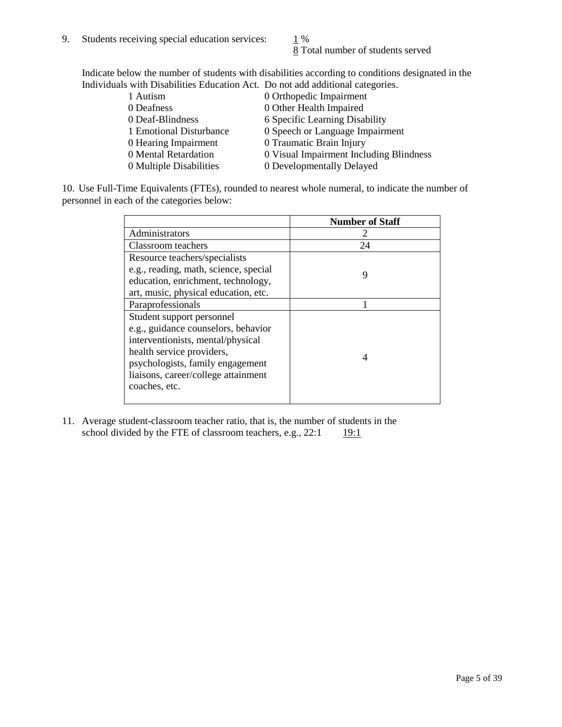8 Total number of students served

Indicate below the number of students with disabilities according to conditions designated in the Individuals with Disabilities Education Act. Do not add additional categories.

| 1 Autism                | 0 Orthopedic Impairment                 |
|-------------------------|-----------------------------------------|
| 0 Deafness              | 0 Other Health Impaired                 |
| 0 Deaf-Blindness        | 6 Specific Learning Disability          |
| 1 Emotional Disturbance | 0 Speech or Language Impairment         |
| 0 Hearing Impairment    | 0 Traumatic Brain Injury                |
| 0 Mental Retardation    | 0 Visual Impairment Including Blindness |
| 0 Multiple Disabilities | 0 Developmentally Delayed               |
|                         |                                         |

10. Use Full-Time Equivalents (FTEs), rounded to nearest whole numeral, to indicate the number of personnel in each of the categories below:

|                                       | <b>Number of Staff</b> |
|---------------------------------------|------------------------|
| Administrators                        |                        |
| Classroom teachers                    | 24                     |
| Resource teachers/specialists         |                        |
| e.g., reading, math, science, special | 9                      |
| education, enrichment, technology,    |                        |
| art, music, physical education, etc.  |                        |
| Paraprofessionals                     |                        |
| Student support personnel             |                        |
| e.g., guidance counselors, behavior   |                        |
| interventionists, mental/physical     |                        |
| health service providers,             | 4                      |
| psychologists, family engagement      |                        |
| liaisons, career/college attainment   |                        |
| coaches, etc.                         |                        |
|                                       |                        |

11. Average student-classroom teacher ratio, that is, the number of students in the school divided by the FTE of classroom teachers, e.g.,  $22:1$  19:1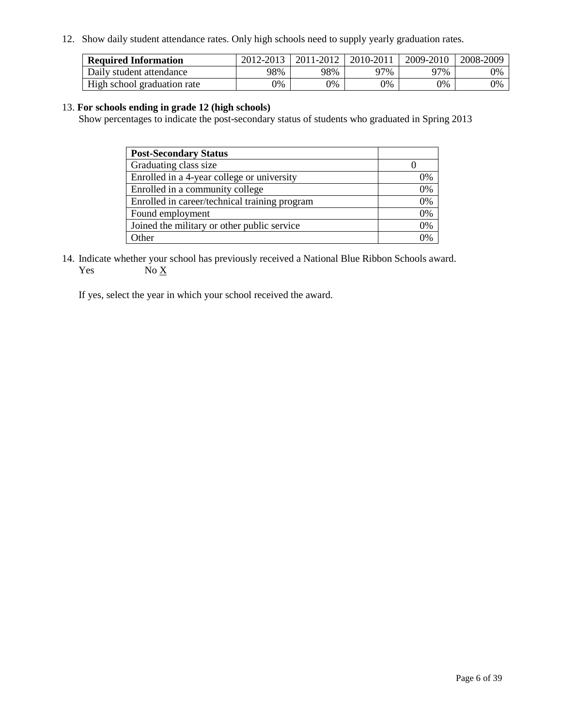12. Show daily student attendance rates. Only high schools need to supply yearly graduation rates.

| <b>Required Information</b> | 2012-2013 | 2011-2012 | 2010-2011 | 2009-2010 | 2008-2009 |
|-----------------------------|-----------|-----------|-----------|-----------|-----------|
| Daily student attendance    | 98%       | 98%       | 27%       | 97%       | 0%        |
| High school graduation rate | 0%        | 9%        | 0%        | 0%        | 0%        |

#### 13. **For schools ending in grade 12 (high schools)**

Show percentages to indicate the post-secondary status of students who graduated in Spring 2013

| <b>Post-Secondary Status</b>                  |    |
|-----------------------------------------------|----|
| Graduating class size                         |    |
| Enrolled in a 4-year college or university    | 0% |
| Enrolled in a community college               | 0% |
| Enrolled in career/technical training program | 0% |
| Found employment                              | 0% |
| Joined the military or other public service   | 0% |
| <b>Other</b>                                  | 2% |

14. Indicate whether your school has previously received a National Blue Ribbon Schools award. Yes  $No \underline{X}$ 

If yes, select the year in which your school received the award.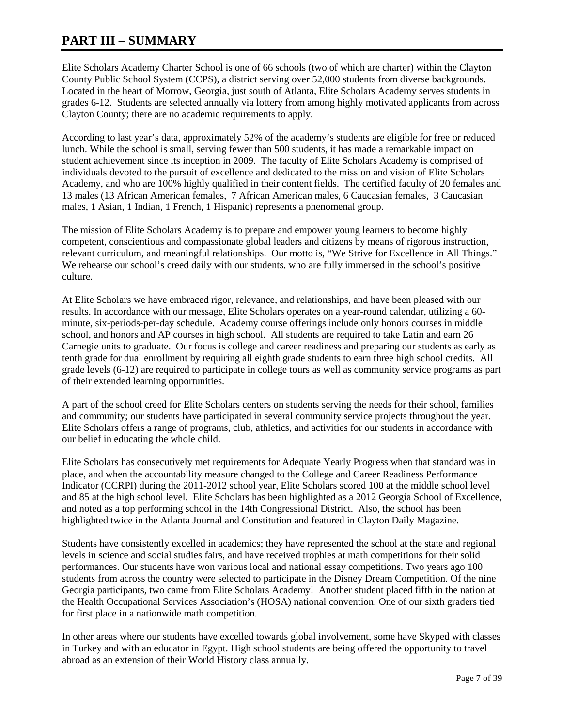### **PART III – SUMMARY**

Elite Scholars Academy Charter School is one of 66 schools (two of which are charter) within the Clayton County Public School System (CCPS), a district serving over 52,000 students from diverse backgrounds. Located in the heart of Morrow, Georgia, just south of Atlanta, Elite Scholars Academy serves students in grades 6-12. Students are selected annually via lottery from among highly motivated applicants from across Clayton County; there are no academic requirements to apply.

According to last year's data, approximately 52% of the academy's students are eligible for free or reduced lunch. While the school is small, serving fewer than 500 students, it has made a remarkable impact on student achievement since its inception in 2009. The faculty of Elite Scholars Academy is comprised of individuals devoted to the pursuit of excellence and dedicated to the mission and vision of Elite Scholars Academy, and who are 100% highly qualified in their content fields. The certified faculty of 20 females and 13 males (13 African American females, 7 African American males, 6 Caucasian females, 3 Caucasian males, 1 Asian, 1 Indian, 1 French, 1 Hispanic) represents a phenomenal group.

The mission of Elite Scholars Academy is to prepare and empower young learners to become highly competent, conscientious and compassionate global leaders and citizens by means of rigorous instruction, relevant curriculum, and meaningful relationships. Our motto is, "We Strive for Excellence in All Things." We rehearse our school's creed daily with our students, who are fully immersed in the school's positive culture.

At Elite Scholars we have embraced rigor, relevance, and relationships, and have been pleased with our results. In accordance with our message, Elite Scholars operates on a year-round calendar, utilizing a 60 minute, six-periods-per-day schedule. Academy course offerings include only honors courses in middle school, and honors and AP courses in high school. All students are required to take Latin and earn 26 Carnegie units to graduate. Our focus is college and career readiness and preparing our students as early as tenth grade for dual enrollment by requiring all eighth grade students to earn three high school credits. All grade levels (6-12) are required to participate in college tours as well as community service programs as part of their extended learning opportunities.

A part of the school creed for Elite Scholars centers on students serving the needs for their school, families and community; our students have participated in several community service projects throughout the year. Elite Scholars offers a range of programs, club, athletics, and activities for our students in accordance with our belief in educating the whole child.

Elite Scholars has consecutively met requirements for Adequate Yearly Progress when that standard was in place, and when the accountability measure changed to the College and Career Readiness Performance Indicator (CCRPI) during the 2011-2012 school year, Elite Scholars scored 100 at the middle school level and 85 at the high school level. Elite Scholars has been highlighted as a 2012 Georgia School of Excellence, and noted as a top performing school in the 14th Congressional District. Also, the school has been highlighted twice in the Atlanta Journal and Constitution and featured in Clayton Daily Magazine.

Students have consistently excelled in academics; they have represented the school at the state and regional levels in science and social studies fairs, and have received trophies at math competitions for their solid performances. Our students have won various local and national essay competitions. Two years ago 100 students from across the country were selected to participate in the Disney Dream Competition. Of the nine Georgia participants, two came from Elite Scholars Academy! Another student placed fifth in the nation at the Health Occupational Services Association's (HOSA) national convention. One of our sixth graders tied for first place in a nationwide math competition.

In other areas where our students have excelled towards global involvement, some have Skyped with classes in Turkey and with an educator in Egypt. High school students are being offered the opportunity to travel abroad as an extension of their World History class annually.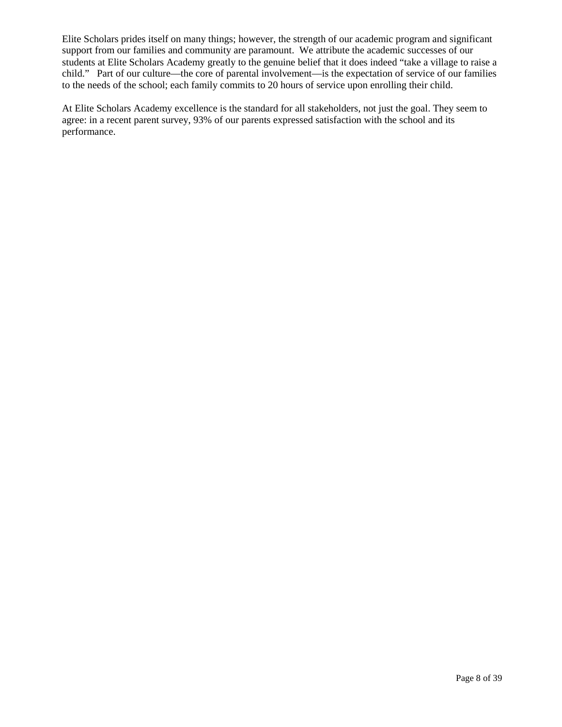Elite Scholars prides itself on many things; however, the strength of our academic program and significant support from our families and community are paramount. We attribute the academic successes of our students at Elite Scholars Academy greatly to the genuine belief that it does indeed "take a village to raise a child." Part of our culture—the core of parental involvement—is the expectation of service of our families to the needs of the school; each family commits to 20 hours of service upon enrolling their child.

At Elite Scholars Academy excellence is the standard for all stakeholders, not just the goal. They seem to agree: in a recent parent survey, 93% of our parents expressed satisfaction with the school and its performance.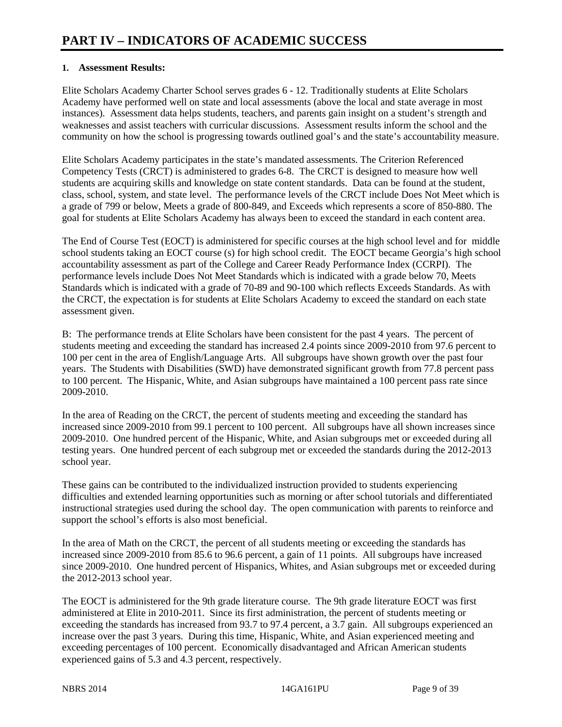#### **1. Assessment Results:**

Elite Scholars Academy Charter School serves grades 6 - 12. Traditionally students at Elite Scholars Academy have performed well on state and local assessments (above the local and state average in most instances). Assessment data helps students, teachers, and parents gain insight on a student's strength and weaknesses and assist teachers with curricular discussions. Assessment results inform the school and the community on how the school is progressing towards outlined goal's and the state's accountability measure.

Elite Scholars Academy participates in the state's mandated assessments. The Criterion Referenced Competency Tests (CRCT) is administered to grades 6-8. The CRCT is designed to measure how well students are acquiring skills and knowledge on state content standards. Data can be found at the student, class, school, system, and state level. The performance levels of the CRCT include Does Not Meet which is a grade of 799 or below, Meets a grade of 800-849, and Exceeds which represents a score of 850-880. The goal for students at Elite Scholars Academy has always been to exceed the standard in each content area.

The End of Course Test (EOCT) is administered for specific courses at the high school level and for middle school students taking an EOCT course (s) for high school credit. The EOCT became Georgia's high school accountability assessment as part of the College and Career Ready Performance Index (CCRPI). The performance levels include Does Not Meet Standards which is indicated with a grade below 70, Meets Standards which is indicated with a grade of 70-89 and 90-100 which reflects Exceeds Standards. As with the CRCT, the expectation is for students at Elite Scholars Academy to exceed the standard on each state assessment given.

B: The performance trends at Elite Scholars have been consistent for the past 4 years. The percent of students meeting and exceeding the standard has increased 2.4 points since 2009-2010 from 97.6 percent to 100 per cent in the area of English/Language Arts. All subgroups have shown growth over the past four years. The Students with Disabilities (SWD) have demonstrated significant growth from 77.8 percent pass to 100 percent. The Hispanic, White, and Asian subgroups have maintained a 100 percent pass rate since 2009-2010.

In the area of Reading on the CRCT, the percent of students meeting and exceeding the standard has increased since 2009-2010 from 99.1 percent to 100 percent. All subgroups have all shown increases since 2009-2010. One hundred percent of the Hispanic, White, and Asian subgroups met or exceeded during all testing years. One hundred percent of each subgroup met or exceeded the standards during the 2012-2013 school year.

These gains can be contributed to the individualized instruction provided to students experiencing difficulties and extended learning opportunities such as morning or after school tutorials and differentiated instructional strategies used during the school day. The open communication with parents to reinforce and support the school's efforts is also most beneficial.

In the area of Math on the CRCT, the percent of all students meeting or exceeding the standards has increased since 2009-2010 from 85.6 to 96.6 percent, a gain of 11 points. All subgroups have increased since 2009-2010. One hundred percent of Hispanics, Whites, and Asian subgroups met or exceeded during the 2012-2013 school year.

The EOCT is administered for the 9th grade literature course. The 9th grade literature EOCT was first administered at Elite in 2010-2011. Since its first administration, the percent of students meeting or exceeding the standards has increased from 93.7 to 97.4 percent, a 3.7 gain. All subgroups experienced an increase over the past 3 years. During this time, Hispanic, White, and Asian experienced meeting and exceeding percentages of 100 percent. Economically disadvantaged and African American students experienced gains of 5.3 and 4.3 percent, respectively.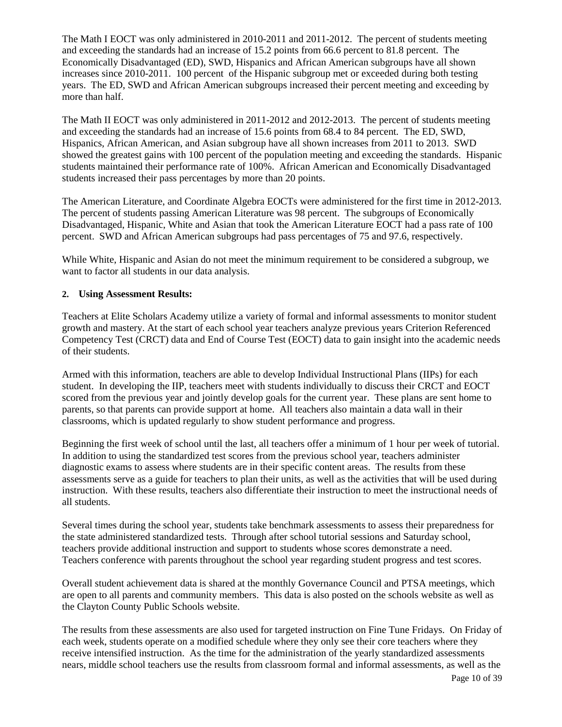The Math I EOCT was only administered in 2010-2011 and 2011-2012. The percent of students meeting and exceeding the standards had an increase of 15.2 points from 66.6 percent to 81.8 percent. The Economically Disadvantaged (ED), SWD, Hispanics and African American subgroups have all shown increases since 2010-2011. 100 percent of the Hispanic subgroup met or exceeded during both testing years. The ED, SWD and African American subgroups increased their percent meeting and exceeding by more than half.

The Math II EOCT was only administered in 2011-2012 and 2012-2013. The percent of students meeting and exceeding the standards had an increase of 15.6 points from 68.4 to 84 percent. The ED, SWD, Hispanics, African American, and Asian subgroup have all shown increases from 2011 to 2013. SWD showed the greatest gains with 100 percent of the population meeting and exceeding the standards. Hispanic students maintained their performance rate of 100%. African American and Economically Disadvantaged students increased their pass percentages by more than 20 points.

The American Literature, and Coordinate Algebra EOCTs were administered for the first time in 2012-2013. The percent of students passing American Literature was 98 percent. The subgroups of Economically Disadvantaged, Hispanic, White and Asian that took the American Literature EOCT had a pass rate of 100 percent. SWD and African American subgroups had pass percentages of 75 and 97.6, respectively.

While White, Hispanic and Asian do not meet the minimum requirement to be considered a subgroup, we want to factor all students in our data analysis.

#### **2. Using Assessment Results:**

Teachers at Elite Scholars Academy utilize a variety of formal and informal assessments to monitor student growth and mastery. At the start of each school year teachers analyze previous years Criterion Referenced Competency Test (CRCT) data and End of Course Test (EOCT) data to gain insight into the academic needs of their students.

Armed with this information, teachers are able to develop Individual Instructional Plans (IIPs) for each student. In developing the IIP, teachers meet with students individually to discuss their CRCT and EOCT scored from the previous year and jointly develop goals for the current year. These plans are sent home to parents, so that parents can provide support at home. All teachers also maintain a data wall in their classrooms, which is updated regularly to show student performance and progress.

Beginning the first week of school until the last, all teachers offer a minimum of 1 hour per week of tutorial. In addition to using the standardized test scores from the previous school year, teachers administer diagnostic exams to assess where students are in their specific content areas. The results from these assessments serve as a guide for teachers to plan their units, as well as the activities that will be used during instruction. With these results, teachers also differentiate their instruction to meet the instructional needs of all students.

Several times during the school year, students take benchmark assessments to assess their preparedness for the state administered standardized tests. Through after school tutorial sessions and Saturday school, teachers provide additional instruction and support to students whose scores demonstrate a need. Teachers conference with parents throughout the school year regarding student progress and test scores.

Overall student achievement data is shared at the monthly Governance Council and PTSA meetings, which are open to all parents and community members. This data is also posted on the schools website as well as the Clayton County Public Schools website.

The results from these assessments are also used for targeted instruction on Fine Tune Fridays. On Friday of each week, students operate on a modified schedule where they only see their core teachers where they receive intensified instruction. As the time for the administration of the yearly standardized assessments nears, middle school teachers use the results from classroom formal and informal assessments, as well as the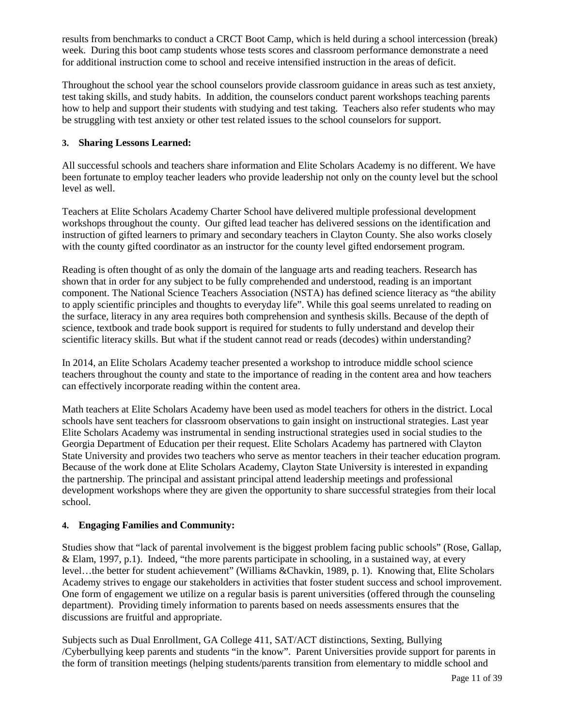results from benchmarks to conduct a CRCT Boot Camp, which is held during a school intercession (break) week. During this boot camp students whose tests scores and classroom performance demonstrate a need for additional instruction come to school and receive intensified instruction in the areas of deficit.

Throughout the school year the school counselors provide classroom guidance in areas such as test anxiety, test taking skills, and study habits. In addition, the counselors conduct parent workshops teaching parents how to help and support their students with studying and test taking. Teachers also refer students who may be struggling with test anxiety or other test related issues to the school counselors for support.

#### **3. Sharing Lessons Learned:**

All successful schools and teachers share information and Elite Scholars Academy is no different. We have been fortunate to employ teacher leaders who provide leadership not only on the county level but the school level as well.

Teachers at Elite Scholars Academy Charter School have delivered multiple professional development workshops throughout the county. Our gifted lead teacher has delivered sessions on the identification and instruction of gifted learners to primary and secondary teachers in Clayton County. She also works closely with the county gifted coordinator as an instructor for the county level gifted endorsement program.

Reading is often thought of as only the domain of the language arts and reading teachers. Research has shown that in order for any subject to be fully comprehended and understood, reading is an important component. The National Science Teachers Association (NSTA) has defined science literacy as "the ability to apply scientific principles and thoughts to everyday life". While this goal seems unrelated to reading on the surface, literacy in any area requires both comprehension and synthesis skills. Because of the depth of science, textbook and trade book support is required for students to fully understand and develop their scientific literacy skills. But what if the student cannot read or reads (decodes) within understanding?

In 2014, an Elite Scholars Academy teacher presented a workshop to introduce middle school science teachers throughout the county and state to the importance of reading in the content area and how teachers can effectively incorporate reading within the content area.

Math teachers at Elite Scholars Academy have been used as model teachers for others in the district. Local schools have sent teachers for classroom observations to gain insight on instructional strategies. Last year Elite Scholars Academy was instrumental in sending instructional strategies used in social studies to the Georgia Department of Education per their request. Elite Scholars Academy has partnered with Clayton State University and provides two teachers who serve as mentor teachers in their teacher education program. Because of the work done at Elite Scholars Academy, Clayton State University is interested in expanding the partnership. The principal and assistant principal attend leadership meetings and professional development workshops where they are given the opportunity to share successful strategies from their local school.

#### **4. Engaging Families and Community:**

Studies show that "lack of parental involvement is the biggest problem facing public schools" (Rose, Gallap, & Elam, 1997, p.1). Indeed, "the more parents participate in schooling, in a sustained way, at every level…the better for student achievement" (Williams &Chavkin, 1989, p. 1). Knowing that, Elite Scholars Academy strives to engage our stakeholders in activities that foster student success and school improvement. One form of engagement we utilize on a regular basis is parent universities (offered through the counseling department). Providing timely information to parents based on needs assessments ensures that the discussions are fruitful and appropriate.

Subjects such as Dual Enrollment, GA College 411, SAT/ACT distinctions, Sexting, Bullying /Cyberbullying keep parents and students "in the know". Parent Universities provide support for parents in the form of transition meetings (helping students/parents transition from elementary to middle school and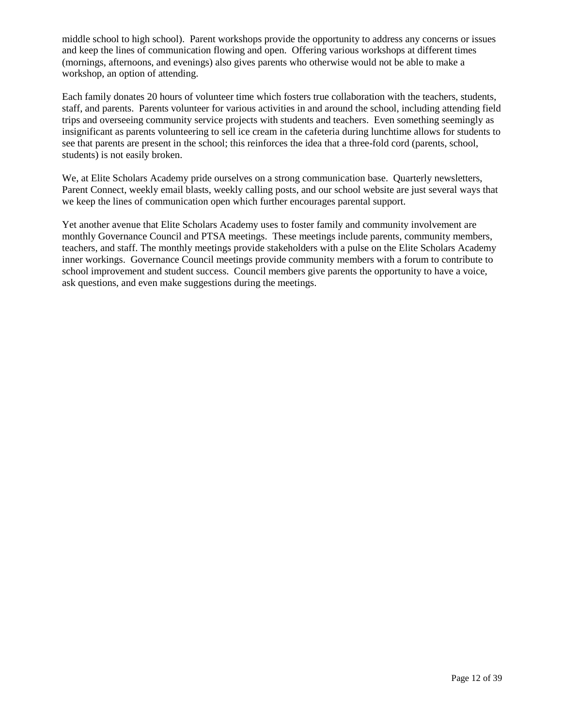middle school to high school). Parent workshops provide the opportunity to address any concerns or issues and keep the lines of communication flowing and open. Offering various workshops at different times (mornings, afternoons, and evenings) also gives parents who otherwise would not be able to make a workshop, an option of attending.

Each family donates 20 hours of volunteer time which fosters true collaboration with the teachers, students, staff, and parents. Parents volunteer for various activities in and around the school, including attending field trips and overseeing community service projects with students and teachers. Even something seemingly as insignificant as parents volunteering to sell ice cream in the cafeteria during lunchtime allows for students to see that parents are present in the school; this reinforces the idea that a three-fold cord (parents, school, students) is not easily broken.

We, at Elite Scholars Academy pride ourselves on a strong communication base. Ouarterly newsletters, Parent Connect, weekly email blasts, weekly calling posts, and our school website are just several ways that we keep the lines of communication open which further encourages parental support.

Yet another avenue that Elite Scholars Academy uses to foster family and community involvement are monthly Governance Council and PTSA meetings. These meetings include parents, community members, teachers, and staff. The monthly meetings provide stakeholders with a pulse on the Elite Scholars Academy inner workings. Governance Council meetings provide community members with a forum to contribute to school improvement and student success. Council members give parents the opportunity to have a voice, ask questions, and even make suggestions during the meetings.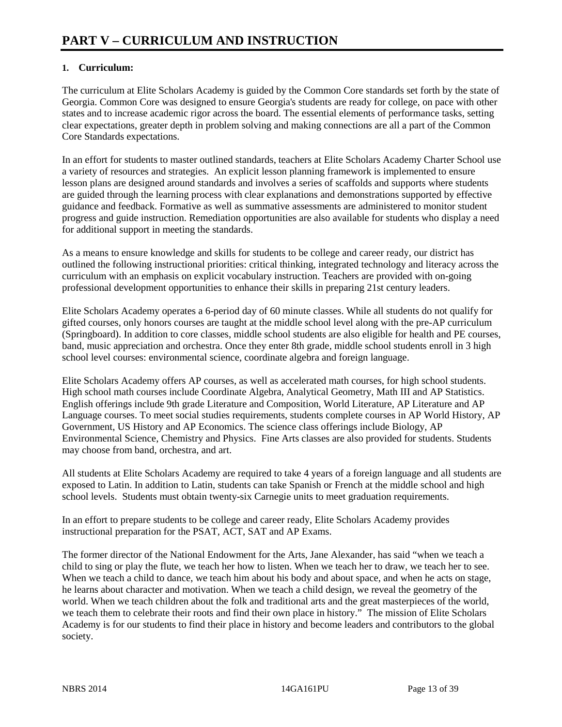#### **1. Curriculum:**

The curriculum at Elite Scholars Academy is guided by the Common Core standards set forth by the state of Georgia. Common Core was designed to ensure Georgia's students are ready for college, on pace with other states and to increase academic rigor across the board. The essential elements of performance tasks, setting clear expectations, greater depth in problem solving and making connections are all a part of the Common Core Standards expectations.

In an effort for students to master outlined standards, teachers at Elite Scholars Academy Charter School use a variety of resources and strategies. An explicit lesson planning framework is implemented to ensure lesson plans are designed around standards and involves a series of scaffolds and supports where students are guided through the learning process with clear explanations and demonstrations supported by effective guidance and feedback. Formative as well as summative assessments are administered to monitor student progress and guide instruction. Remediation opportunities are also available for students who display a need for additional support in meeting the standards.

As a means to ensure knowledge and skills for students to be college and career ready, our district has outlined the following instructional priorities: critical thinking, integrated technology and literacy across the curriculum with an emphasis on explicit vocabulary instruction. Teachers are provided with on-going professional development opportunities to enhance their skills in preparing 21st century leaders.

Elite Scholars Academy operates a 6-period day of 60 minute classes. While all students do not qualify for gifted courses, only honors courses are taught at the middle school level along with the pre-AP curriculum (Springboard). In addition to core classes, middle school students are also eligible for health and PE courses, band, music appreciation and orchestra. Once they enter 8th grade, middle school students enroll in 3 high school level courses: environmental science, coordinate algebra and foreign language.

Elite Scholars Academy offers AP courses, as well as accelerated math courses, for high school students. High school math courses include Coordinate Algebra, Analytical Geometry, Math III and AP Statistics. English offerings include 9th grade Literature and Composition, World Literature, AP Literature and AP Language courses. To meet social studies requirements, students complete courses in AP World History, AP Government, US History and AP Economics. The science class offerings include Biology, AP Environmental Science, Chemistry and Physics. Fine Arts classes are also provided for students. Students may choose from band, orchestra, and art.

All students at Elite Scholars Academy are required to take 4 years of a foreign language and all students are exposed to Latin. In addition to Latin, students can take Spanish or French at the middle school and high school levels. Students must obtain twenty-six Carnegie units to meet graduation requirements.

In an effort to prepare students to be college and career ready, Elite Scholars Academy provides instructional preparation for the PSAT, ACT, SAT and AP Exams.

The former director of the National Endowment for the Arts, Jane Alexander, has said "when we teach a child to sing or play the flute, we teach her how to listen. When we teach her to draw, we teach her to see. When we teach a child to dance, we teach him about his body and about space, and when he acts on stage, he learns about character and motivation. When we teach a child design, we reveal the geometry of the world. When we teach children about the folk and traditional arts and the great masterpieces of the world, we teach them to celebrate their roots and find their own place in history." The mission of Elite Scholars Academy is for our students to find their place in history and become leaders and contributors to the global society.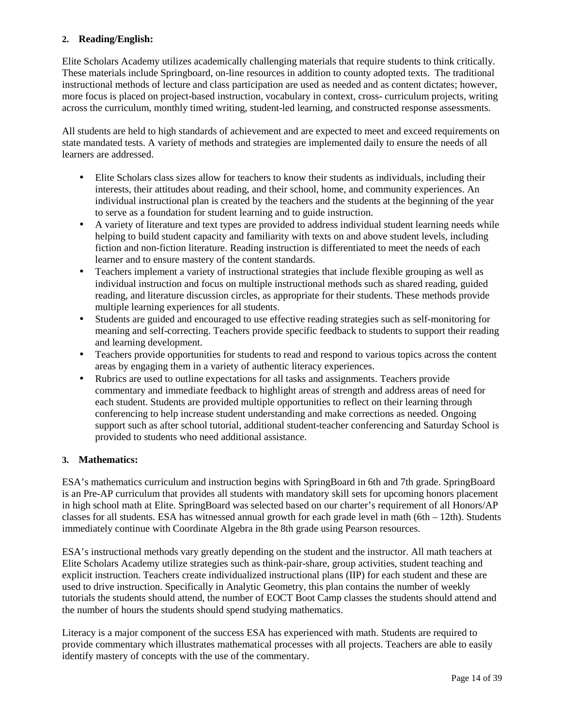#### **2. Reading/English:**

Elite Scholars Academy utilizes academically challenging materials that require students to think critically. These materials include Springboard, on-line resources in addition to county adopted texts. The traditional instructional methods of lecture and class participation are used as needed and as content dictates; however, more focus is placed on project-based instruction, vocabulary in context, cross- curriculum projects, writing across the curriculum, monthly timed writing, student-led learning, and constructed response assessments.

All students are held to high standards of achievement and are expected to meet and exceed requirements on state mandated tests. A variety of methods and strategies are implemented daily to ensure the needs of all learners are addressed.

- Elite Scholars class sizes allow for teachers to know their students as individuals, including their interests, their attitudes about reading, and their school, home, and community experiences. An individual instructional plan is created by the teachers and the students at the beginning of the year to serve as a foundation for student learning and to guide instruction.
- A variety of literature and text types are provided to address individual student learning needs while helping to build student capacity and familiarity with texts on and above student levels, including fiction and non-fiction literature. Reading instruction is differentiated to meet the needs of each learner and to ensure mastery of the content standards.
- Teachers implement a variety of instructional strategies that include flexible grouping as well as individual instruction and focus on multiple instructional methods such as shared reading, guided reading, and literature discussion circles, as appropriate for their students. These methods provide multiple learning experiences for all students.
- Students are guided and encouraged to use effective reading strategies such as self-monitoring for meaning and self-correcting. Teachers provide specific feedback to students to support their reading and learning development.
- Teachers provide opportunities for students to read and respond to various topics across the content areas by engaging them in a variety of authentic literacy experiences.
- Rubrics are used to outline expectations for all tasks and assignments. Teachers provide commentary and immediate feedback to highlight areas of strength and address areas of need for each student. Students are provided multiple opportunities to reflect on their learning through conferencing to help increase student understanding and make corrections as needed. Ongoing support such as after school tutorial, additional student-teacher conferencing and Saturday School is provided to students who need additional assistance.

#### **3. Mathematics:**

ESA's mathematics curriculum and instruction begins with SpringBoard in 6th and 7th grade. SpringBoard is an Pre-AP curriculum that provides all students with mandatory skill sets for upcoming honors placement in high school math at Elite. SpringBoard was selected based on our charter's requirement of all Honors/AP classes for all students. ESA has witnessed annual growth for each grade level in math (6th – 12th). Students immediately continue with Coordinate Algebra in the 8th grade using Pearson resources.

ESA's instructional methods vary greatly depending on the student and the instructor. All math teachers at Elite Scholars Academy utilize strategies such as think-pair-share, group activities, student teaching and explicit instruction. Teachers create individualized instructional plans (IIP) for each student and these are used to drive instruction. Specifically in Analytic Geometry, this plan contains the number of weekly tutorials the students should attend, the number of EOCT Boot Camp classes the students should attend and the number of hours the students should spend studying mathematics.

Literacy is a major component of the success ESA has experienced with math. Students are required to provide commentary which illustrates mathematical processes with all projects. Teachers are able to easily identify mastery of concepts with the use of the commentary.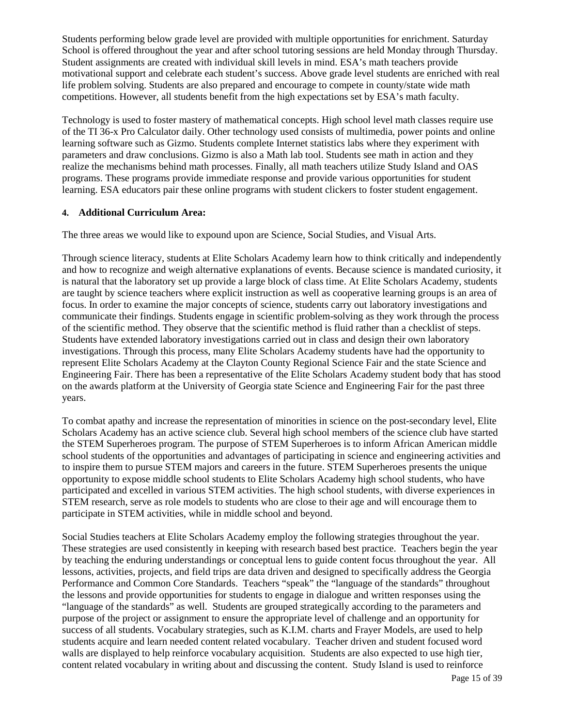Students performing below grade level are provided with multiple opportunities for enrichment. Saturday School is offered throughout the year and after school tutoring sessions are held Monday through Thursday. Student assignments are created with individual skill levels in mind. ESA's math teachers provide motivational support and celebrate each student's success. Above grade level students are enriched with real life problem solving. Students are also prepared and encourage to compete in county/state wide math competitions. However, all students benefit from the high expectations set by ESA's math faculty.

Technology is used to foster mastery of mathematical concepts. High school level math classes require use of the TI 36-x Pro Calculator daily. Other technology used consists of multimedia, power points and online learning software such as Gizmo. Students complete Internet statistics labs where they experiment with parameters and draw conclusions. Gizmo is also a Math lab tool. Students see math in action and they realize the mechanisms behind math processes. Finally, all math teachers utilize Study Island and OAS programs. These programs provide immediate response and provide various opportunities for student learning. ESA educators pair these online programs with student clickers to foster student engagement.

#### **4. Additional Curriculum Area:**

The three areas we would like to expound upon are Science, Social Studies, and Visual Arts.

Through science literacy, students at Elite Scholars Academy learn how to think critically and independently and how to recognize and weigh alternative explanations of events. Because science is mandated curiosity, it is natural that the laboratory set up provide a large block of class time. At Elite Scholars Academy, students are taught by science teachers where explicit instruction as well as cooperative learning groups is an area of focus. In order to examine the major concepts of science, students carry out laboratory investigations and communicate their findings. Students engage in scientific problem-solving as they work through the process of the scientific method. They observe that the scientific method is fluid rather than a checklist of steps. Students have extended laboratory investigations carried out in class and design their own laboratory investigations. Through this process, many Elite Scholars Academy students have had the opportunity to represent Elite Scholars Academy at the Clayton County Regional Science Fair and the state Science and Engineering Fair. There has been a representative of the Elite Scholars Academy student body that has stood on the awards platform at the University of Georgia state Science and Engineering Fair for the past three years.

To combat apathy and increase the representation of minorities in science on the post-secondary level, Elite Scholars Academy has an active science club. Several high school members of the science club have started the STEM Superheroes program. The purpose of STEM Superheroes is to inform African American middle school students of the opportunities and advantages of participating in science and engineering activities and to inspire them to pursue STEM majors and careers in the future. STEM Superheroes presents the unique opportunity to expose middle school students to Elite Scholars Academy high school students, who have participated and excelled in various STEM activities. The high school students, with diverse experiences in STEM research, serve as role models to students who are close to their age and will encourage them to participate in STEM activities, while in middle school and beyond.

Social Studies teachers at Elite Scholars Academy employ the following strategies throughout the year. These strategies are used consistently in keeping with research based best practice. Teachers begin the year by teaching the enduring understandings or conceptual lens to guide content focus throughout the year. All lessons, activities, projects, and field trips are data driven and designed to specifically address the Georgia Performance and Common Core Standards. Teachers "speak" the "language of the standards" throughout the lessons and provide opportunities for students to engage in dialogue and written responses using the "language of the standards" as well. Students are grouped strategically according to the parameters and purpose of the project or assignment to ensure the appropriate level of challenge and an opportunity for success of all students. Vocabulary strategies, such as K.I.M. charts and Frayer Models, are used to help students acquire and learn needed content related vocabulary. Teacher driven and student focused word walls are displayed to help reinforce vocabulary acquisition. Students are also expected to use high tier, content related vocabulary in writing about and discussing the content. Study Island is used to reinforce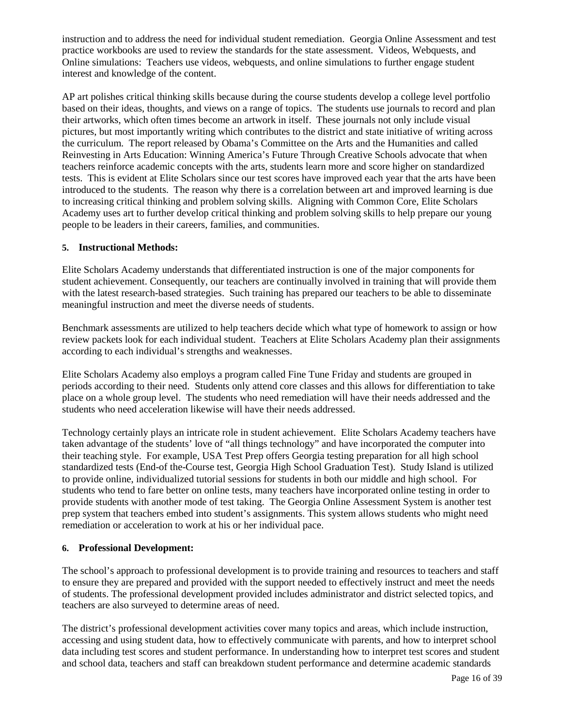instruction and to address the need for individual student remediation. Georgia Online Assessment and test practice workbooks are used to review the standards for the state assessment. Videos, Webquests, and Online simulations: Teachers use videos, webquests, and online simulations to further engage student interest and knowledge of the content.

AP art polishes critical thinking skills because during the course students develop a college level portfolio based on their ideas, thoughts, and views on a range of topics. The students use journals to record and plan their artworks, which often times become an artwork in itself. These journals not only include visual pictures, but most importantly writing which contributes to the district and state initiative of writing across the curriculum. The report released by Obama's Committee on the Arts and the Humanities and called Reinvesting in Arts Education: Winning America's Future Through Creative Schools advocate that when teachers reinforce academic concepts with the arts, students learn more and score higher on standardized tests. This is evident at Elite Scholars since our test scores have improved each year that the arts have been introduced to the students. The reason why there is a correlation between art and improved learning is due to increasing critical thinking and problem solving skills. Aligning with Common Core, Elite Scholars Academy uses art to further develop critical thinking and problem solving skills to help prepare our young people to be leaders in their careers, families, and communities.

#### **5. Instructional Methods:**

Elite Scholars Academy understands that differentiated instruction is one of the major components for student achievement. Consequently, our teachers are continually involved in training that will provide them with the latest research-based strategies. Such training has prepared our teachers to be able to disseminate meaningful instruction and meet the diverse needs of students.

Benchmark assessments are utilized to help teachers decide which what type of homework to assign or how review packets look for each individual student. Teachers at Elite Scholars Academy plan their assignments according to each individual's strengths and weaknesses.

Elite Scholars Academy also employs a program called Fine Tune Friday and students are grouped in periods according to their need. Students only attend core classes and this allows for differentiation to take place on a whole group level. The students who need remediation will have their needs addressed and the students who need acceleration likewise will have their needs addressed.

Technology certainly plays an intricate role in student achievement. Elite Scholars Academy teachers have taken advantage of the students' love of "all things technology" and have incorporated the computer into their teaching style. For example, USA Test Prep offers Georgia testing preparation for all high school standardized tests (End-of the-Course test, Georgia High School Graduation Test). Study Island is utilized to provide online, individualized tutorial sessions for students in both our middle and high school. For students who tend to fare better on online tests, many teachers have incorporated online testing in order to provide students with another mode of test taking. The Georgia Online Assessment System is another test prep system that teachers embed into student's assignments. This system allows students who might need remediation or acceleration to work at his or her individual pace.

#### **6. Professional Development:**

The school's approach to professional development is to provide training and resources to teachers and staff to ensure they are prepared and provided with the support needed to effectively instruct and meet the needs of students. The professional development provided includes administrator and district selected topics, and teachers are also surveyed to determine areas of need.

The district's professional development activities cover many topics and areas, which include instruction, accessing and using student data, how to effectively communicate with parents, and how to interpret school data including test scores and student performance. In understanding how to interpret test scores and student and school data, teachers and staff can breakdown student performance and determine academic standards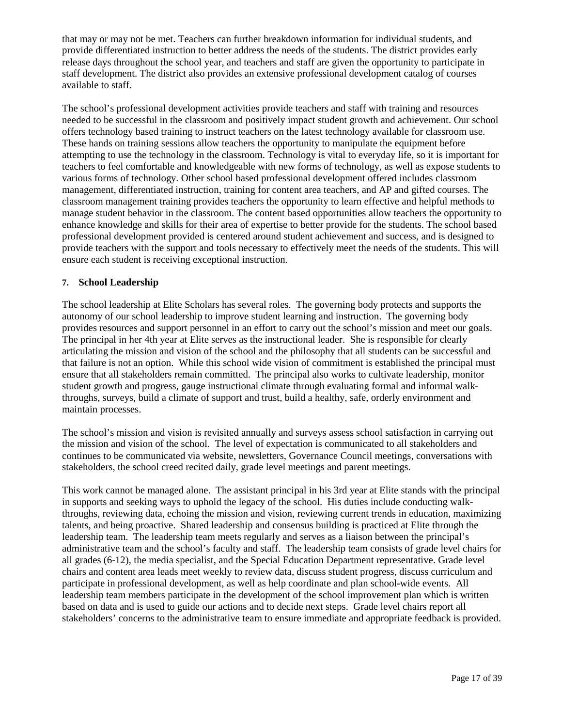that may or may not be met. Teachers can further breakdown information for individual students, and provide differentiated instruction to better address the needs of the students. The district provides early release days throughout the school year, and teachers and staff are given the opportunity to participate in staff development. The district also provides an extensive professional development catalog of courses available to staff.

The school's professional development activities provide teachers and staff with training and resources needed to be successful in the classroom and positively impact student growth and achievement. Our school offers technology based training to instruct teachers on the latest technology available for classroom use. These hands on training sessions allow teachers the opportunity to manipulate the equipment before attempting to use the technology in the classroom. Technology is vital to everyday life, so it is important for teachers to feel comfortable and knowledgeable with new forms of technology, as well as expose students to various forms of technology. Other school based professional development offered includes classroom management, differentiated instruction, training for content area teachers, and AP and gifted courses. The classroom management training provides teachers the opportunity to learn effective and helpful methods to manage student behavior in the classroom. The content based opportunities allow teachers the opportunity to enhance knowledge and skills for their area of expertise to better provide for the students. The school based professional development provided is centered around student achievement and success, and is designed to provide teachers with the support and tools necessary to effectively meet the needs of the students. This will ensure each student is receiving exceptional instruction.

#### **7. School Leadership**

The school leadership at Elite Scholars has several roles. The governing body protects and supports the autonomy of our school leadership to improve student learning and instruction. The governing body provides resources and support personnel in an effort to carry out the school's mission and meet our goals. The principal in her 4th year at Elite serves as the instructional leader. She is responsible for clearly articulating the mission and vision of the school and the philosophy that all students can be successful and that failure is not an option. While this school wide vision of commitment is established the principal must ensure that all stakeholders remain committed. The principal also works to cultivate leadership, monitor student growth and progress, gauge instructional climate through evaluating formal and informal walkthroughs, surveys, build a climate of support and trust, build a healthy, safe, orderly environment and maintain processes.

The school's mission and vision is revisited annually and surveys assess school satisfaction in carrying out the mission and vision of the school. The level of expectation is communicated to all stakeholders and continues to be communicated via website, newsletters, Governance Council meetings, conversations with stakeholders, the school creed recited daily, grade level meetings and parent meetings.

This work cannot be managed alone. The assistant principal in his 3rd year at Elite stands with the principal in supports and seeking ways to uphold the legacy of the school. His duties include conducting walkthroughs, reviewing data, echoing the mission and vision, reviewing current trends in education, maximizing talents, and being proactive. Shared leadership and consensus building is practiced at Elite through the leadership team. The leadership team meets regularly and serves as a liaison between the principal's administrative team and the school's faculty and staff. The leadership team consists of grade level chairs for all grades (6-12), the media specialist, and the Special Education Department representative. Grade level chairs and content area leads meet weekly to review data, discuss student progress, discuss curriculum and participate in professional development, as well as help coordinate and plan school-wide events. All leadership team members participate in the development of the school improvement plan which is written based on data and is used to guide our actions and to decide next steps. Grade level chairs report all stakeholders' concerns to the administrative team to ensure immediate and appropriate feedback is provided.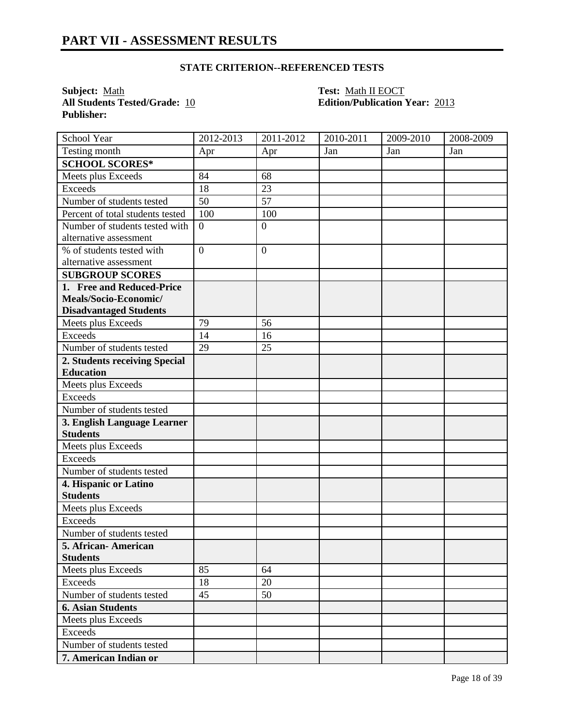**All Students Tested/Grade: 10 Publisher:** 

**Subject:** <u>Math **Test:** Math II EOCT</u><br> **All Students Tested/Grade:** 10 **Test: Math II EOCT**<br> **Edition/Publication Year:** 2013

| School Year                      | 2012-2013      | 2011-2012      | 2010-2011 | 2009-2010 | 2008-2009 |
|----------------------------------|----------------|----------------|-----------|-----------|-----------|
| Testing month                    | Apr            | Apr            | Jan       | Jan       | Jan       |
| <b>SCHOOL SCORES*</b>            |                |                |           |           |           |
| Meets plus Exceeds               | 84             | 68             |           |           |           |
| <b>Exceeds</b>                   | 18             | 23             |           |           |           |
| Number of students tested        | 50             | 57             |           |           |           |
| Percent of total students tested | 100            | 100            |           |           |           |
| Number of students tested with   | $\overline{0}$ | $\overline{0}$ |           |           |           |
| alternative assessment           |                |                |           |           |           |
| % of students tested with        | $\overline{0}$ | $\mathbf{0}$   |           |           |           |
| alternative assessment           |                |                |           |           |           |
| <b>SUBGROUP SCORES</b>           |                |                |           |           |           |
| 1. Free and Reduced-Price        |                |                |           |           |           |
| Meals/Socio-Economic/            |                |                |           |           |           |
| <b>Disadvantaged Students</b>    |                |                |           |           |           |
| Meets plus Exceeds               | 79             | 56             |           |           |           |
| <b>Exceeds</b>                   | 14             | 16             |           |           |           |
| Number of students tested        | 29             | 25             |           |           |           |
| 2. Students receiving Special    |                |                |           |           |           |
| <b>Education</b>                 |                |                |           |           |           |
| Meets plus Exceeds               |                |                |           |           |           |
| <b>Exceeds</b>                   |                |                |           |           |           |
| Number of students tested        |                |                |           |           |           |
| 3. English Language Learner      |                |                |           |           |           |
| <b>Students</b>                  |                |                |           |           |           |
| Meets plus Exceeds               |                |                |           |           |           |
| <b>Exceeds</b>                   |                |                |           |           |           |
| Number of students tested        |                |                |           |           |           |
| 4. Hispanic or Latino            |                |                |           |           |           |
| <b>Students</b>                  |                |                |           |           |           |
| Meets plus Exceeds               |                |                |           |           |           |
| <b>Exceeds</b>                   |                |                |           |           |           |
| Number of students tested        |                |                |           |           |           |
| 5. African-American              |                |                |           |           |           |
| <b>Students</b>                  |                |                |           |           |           |
| Meets plus Exceeds               | 85             | 64             |           |           |           |
| Exceeds                          | 18             | 20             |           |           |           |
| Number of students tested        | 45             | 50             |           |           |           |
| <b>6. Asian Students</b>         |                |                |           |           |           |
| Meets plus Exceeds               |                |                |           |           |           |
| Exceeds                          |                |                |           |           |           |
| Number of students tested        |                |                |           |           |           |
| 7. American Indian or            |                |                |           |           |           |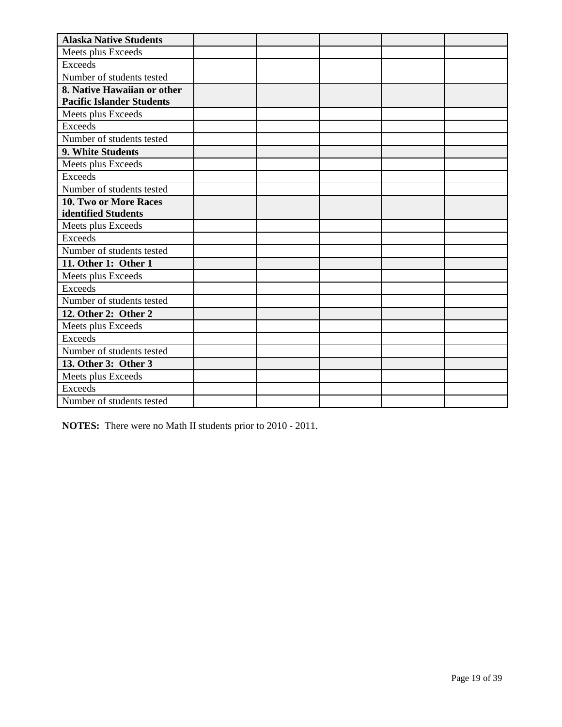| <b>Alaska Native Students</b>    |  |  |  |
|----------------------------------|--|--|--|
| Meets plus Exceeds               |  |  |  |
| <b>Exceeds</b>                   |  |  |  |
| Number of students tested        |  |  |  |
| 8. Native Hawaiian or other      |  |  |  |
| <b>Pacific Islander Students</b> |  |  |  |
| Meets plus Exceeds               |  |  |  |
| <b>Exceeds</b>                   |  |  |  |
| Number of students tested        |  |  |  |
| 9. White Students                |  |  |  |
| Meets plus Exceeds               |  |  |  |
| <b>Exceeds</b>                   |  |  |  |
| Number of students tested        |  |  |  |
| 10. Two or More Races            |  |  |  |
| identified Students              |  |  |  |
| Meets plus Exceeds               |  |  |  |
| <b>Exceeds</b>                   |  |  |  |
| Number of students tested        |  |  |  |
| 11. Other 1: Other 1             |  |  |  |
| Meets plus Exceeds               |  |  |  |
| <b>Exceeds</b>                   |  |  |  |
| Number of students tested        |  |  |  |
| 12. Other 2: Other 2             |  |  |  |
| Meets plus Exceeds               |  |  |  |
| Exceeds                          |  |  |  |
| Number of students tested        |  |  |  |
| 13. Other 3: Other 3             |  |  |  |
| Meets plus Exceeds               |  |  |  |
| <b>Exceeds</b>                   |  |  |  |
| Number of students tested        |  |  |  |

**NOTES:** There were no Math II students prior to 2010 - 2011.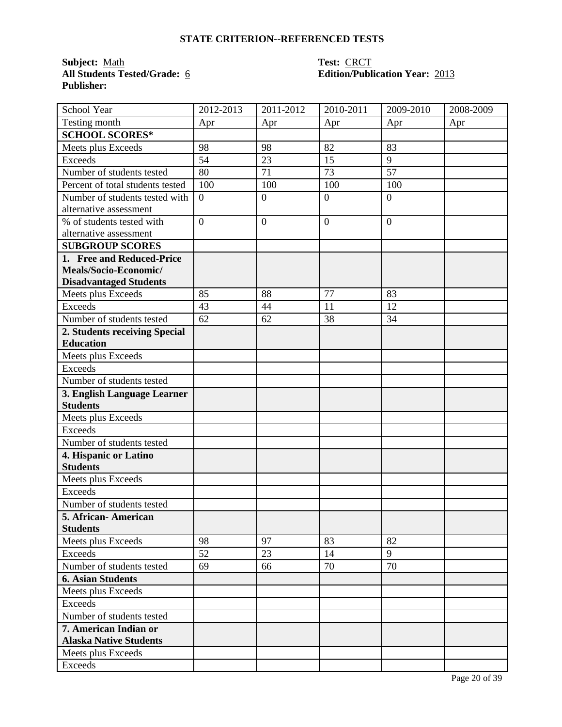**Subject:** Math<br>**All Students Tested/Grade:** <u>6</u> **Publisher:** 

# **Test: CRCT<br>
Edition/Publication Year: 2013**

| School Year                      | 2012-2013        | 2011-2012        | 2010-2011      | 2009-2010       | 2008-2009 |
|----------------------------------|------------------|------------------|----------------|-----------------|-----------|
| Testing month                    | Apr              | Apr              | Apr            | Apr             | Apr       |
| <b>SCHOOL SCORES*</b>            |                  |                  |                |                 |           |
| Meets plus Exceeds               | 98               | 98               | 82             | 83              |           |
| <b>Exceeds</b>                   | 54               | 23               | 15             | 9               |           |
| Number of students tested        | 80               | 71               | 73             | $\overline{57}$ |           |
| Percent of total students tested | 100              | 100              | 100            | 100             |           |
| Number of students tested with   | $\boldsymbol{0}$ | $\boldsymbol{0}$ | $\overline{0}$ | $\overline{0}$  |           |
| alternative assessment           |                  |                  |                |                 |           |
| % of students tested with        | $\overline{0}$   | $\overline{0}$   | $\mathbf{0}$   | $\overline{0}$  |           |
| alternative assessment           |                  |                  |                |                 |           |
| <b>SUBGROUP SCORES</b>           |                  |                  |                |                 |           |
| 1. Free and Reduced-Price        |                  |                  |                |                 |           |
| Meals/Socio-Economic/            |                  |                  |                |                 |           |
| <b>Disadvantaged Students</b>    |                  |                  |                |                 |           |
| Meets plus Exceeds               | 85               | 88               | 77             | 83              |           |
| <b>Exceeds</b>                   | 43               | 44               | 11             | 12              |           |
| Number of students tested        | 62               | 62               | 38             | 34              |           |
| 2. Students receiving Special    |                  |                  |                |                 |           |
| <b>Education</b>                 |                  |                  |                |                 |           |
| Meets plus Exceeds               |                  |                  |                |                 |           |
| <b>Exceeds</b>                   |                  |                  |                |                 |           |
| Number of students tested        |                  |                  |                |                 |           |
| 3. English Language Learner      |                  |                  |                |                 |           |
| <b>Students</b>                  |                  |                  |                |                 |           |
| Meets plus Exceeds               |                  |                  |                |                 |           |
| <b>Exceeds</b>                   |                  |                  |                |                 |           |
| Number of students tested        |                  |                  |                |                 |           |
| 4. Hispanic or Latino            |                  |                  |                |                 |           |
| <b>Students</b>                  |                  |                  |                |                 |           |
| Meets plus Exceeds               |                  |                  |                |                 |           |
| <b>Exceeds</b>                   |                  |                  |                |                 |           |
| Number of students tested        |                  |                  |                |                 |           |
| 5. African-American              |                  |                  |                |                 |           |
| <b>Students</b>                  |                  |                  |                |                 |           |
| Meets plus Exceeds               | 98               | 97               | 83             | 82<br>9         |           |
| Exceeds                          | 52               | 23               | 14             |                 |           |
| Number of students tested        | 69               | 66               | 70             | 70              |           |
| <b>6. Asian Students</b>         |                  |                  |                |                 |           |
| Meets plus Exceeds               |                  |                  |                |                 |           |
| Exceeds                          |                  |                  |                |                 |           |
| Number of students tested        |                  |                  |                |                 |           |
| 7. American Indian or            |                  |                  |                |                 |           |
| <b>Alaska Native Students</b>    |                  |                  |                |                 |           |
| Meets plus Exceeds               |                  |                  |                |                 |           |
| Exceeds                          |                  |                  |                |                 |           |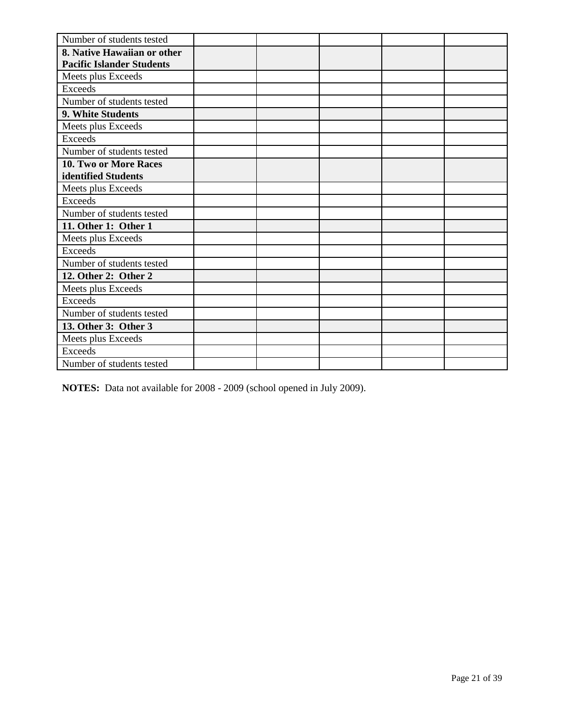| Number of students tested        |  |  |  |
|----------------------------------|--|--|--|
| 8. Native Hawaiian or other      |  |  |  |
| <b>Pacific Islander Students</b> |  |  |  |
| Meets plus Exceeds               |  |  |  |
| <b>Exceeds</b>                   |  |  |  |
| Number of students tested        |  |  |  |
| 9. White Students                |  |  |  |
| Meets plus Exceeds               |  |  |  |
| <b>Exceeds</b>                   |  |  |  |
| Number of students tested        |  |  |  |
| 10. Two or More Races            |  |  |  |
| identified Students              |  |  |  |
| Meets plus Exceeds               |  |  |  |
| Exceeds                          |  |  |  |
| Number of students tested        |  |  |  |
| 11. Other 1: Other 1             |  |  |  |
| Meets plus Exceeds               |  |  |  |
| Exceeds                          |  |  |  |
| Number of students tested        |  |  |  |
| 12. Other 2: Other 2             |  |  |  |
| Meets plus Exceeds               |  |  |  |
| Exceeds                          |  |  |  |
| Number of students tested        |  |  |  |
| 13. Other 3: Other 3             |  |  |  |
| Meets plus Exceeds               |  |  |  |
| <b>Exceeds</b>                   |  |  |  |
| Number of students tested        |  |  |  |

**NOTES:** Data not available for 2008 - 2009 (school opened in July 2009).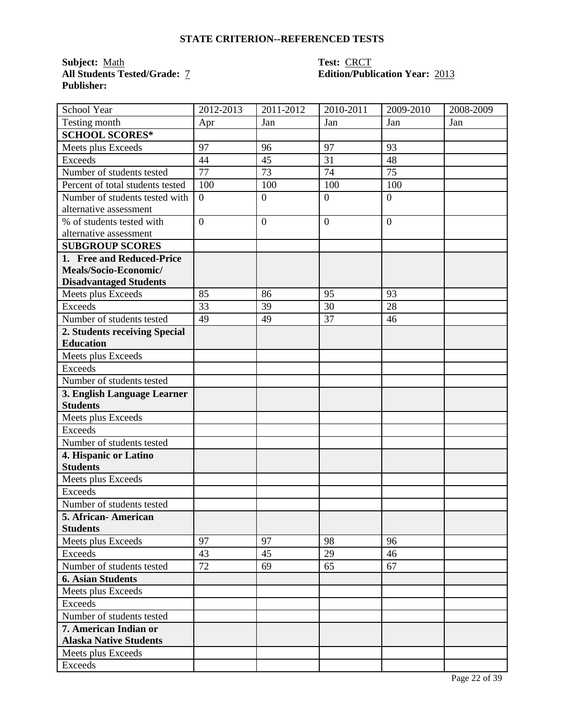**Subject:** Math<br>All Students Tested/Grade: 7 **Publisher:** 

## **Test: CRCT<br>Edition/Publication Year: 2013**

| School Year                      | 2012-2013      | 2011-2012      | 2010-2011        | 2009-2010      | 2008-2009 |
|----------------------------------|----------------|----------------|------------------|----------------|-----------|
| Testing month                    | Apr            | Jan            | Jan              | Jan            | Jan       |
| <b>SCHOOL SCORES*</b>            |                |                |                  |                |           |
| Meets plus Exceeds               | 97             | 96             | 97               | 93             |           |
| <b>Exceeds</b>                   | 44             | 45             | 31               | 48             |           |
| Number of students tested        | 77             | 73             | 74               | 75             |           |
| Percent of total students tested | 100            | 100            | 100              | 100            |           |
| Number of students tested with   | $\overline{0}$ | $\mathbf{0}$   | $\boldsymbol{0}$ | $\overline{0}$ |           |
| alternative assessment           |                |                |                  |                |           |
| % of students tested with        | $\overline{0}$ | $\overline{0}$ | $\overline{0}$   | $\overline{0}$ |           |
| alternative assessment           |                |                |                  |                |           |
| <b>SUBGROUP SCORES</b>           |                |                |                  |                |           |
| 1. Free and Reduced-Price        |                |                |                  |                |           |
| Meals/Socio-Economic/            |                |                |                  |                |           |
| <b>Disadvantaged Students</b>    |                |                |                  |                |           |
| Meets plus Exceeds               | 85             | 86             | 95               | 93             |           |
| <b>Exceeds</b>                   | 33             | 39             | 30               | 28             |           |
| Number of students tested        | 49             | 49             | 37               | 46             |           |
| 2. Students receiving Special    |                |                |                  |                |           |
| <b>Education</b>                 |                |                |                  |                |           |
| Meets plus Exceeds               |                |                |                  |                |           |
| <b>Exceeds</b>                   |                |                |                  |                |           |
| Number of students tested        |                |                |                  |                |           |
| 3. English Language Learner      |                |                |                  |                |           |
| <b>Students</b>                  |                |                |                  |                |           |
| Meets plus Exceeds               |                |                |                  |                |           |
| <b>Exceeds</b>                   |                |                |                  |                |           |
| Number of students tested        |                |                |                  |                |           |
| 4. Hispanic or Latino            |                |                |                  |                |           |
| <b>Students</b>                  |                |                |                  |                |           |
| Meets plus Exceeds               |                |                |                  |                |           |
| <b>Exceeds</b>                   |                |                |                  |                |           |
| Number of students tested        |                |                |                  |                |           |
| 5. African- American             |                |                |                  |                |           |
| <b>Students</b>                  |                |                |                  |                |           |
| Meets plus Exceeds               | 97             | 97             | 98               | 96             |           |
| <b>Exceeds</b>                   | 43             | 45             | 29               | 46             |           |
| Number of students tested        | 72             | 69             | 65               | 67             |           |
| <b>6. Asian Students</b>         |                |                |                  |                |           |
| Meets plus Exceeds               |                |                |                  |                |           |
| Exceeds                          |                |                |                  |                |           |
| Number of students tested        |                |                |                  |                |           |
| 7. American Indian or            |                |                |                  |                |           |
| <b>Alaska Native Students</b>    |                |                |                  |                |           |
| Meets plus Exceeds               |                |                |                  |                |           |
| Exceeds                          |                |                |                  |                |           |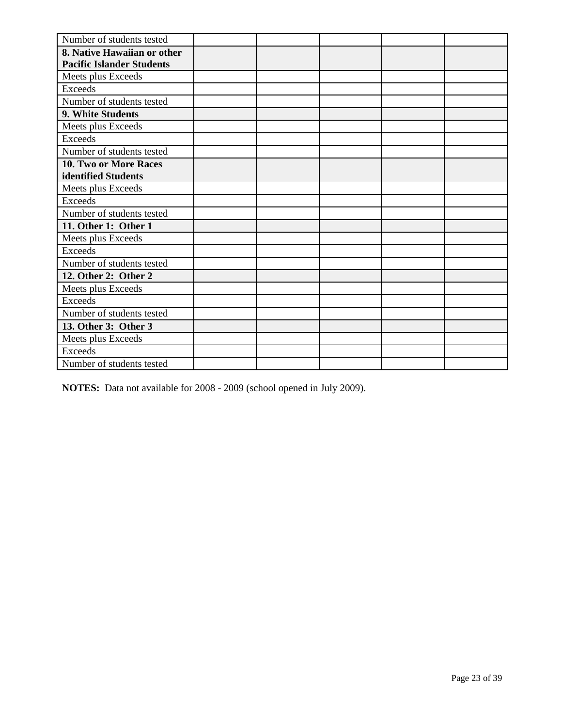| Number of students tested        |  |  |  |
|----------------------------------|--|--|--|
| 8. Native Hawaiian or other      |  |  |  |
| <b>Pacific Islander Students</b> |  |  |  |
| Meets plus Exceeds               |  |  |  |
| <b>Exceeds</b>                   |  |  |  |
| Number of students tested        |  |  |  |
| 9. White Students                |  |  |  |
| Meets plus Exceeds               |  |  |  |
| <b>Exceeds</b>                   |  |  |  |
| Number of students tested        |  |  |  |
| 10. Two or More Races            |  |  |  |
| identified Students              |  |  |  |
| Meets plus Exceeds               |  |  |  |
| Exceeds                          |  |  |  |
| Number of students tested        |  |  |  |
| 11. Other 1: Other 1             |  |  |  |
| Meets plus Exceeds               |  |  |  |
| Exceeds                          |  |  |  |
| Number of students tested        |  |  |  |
| 12. Other 2: Other 2             |  |  |  |
| Meets plus Exceeds               |  |  |  |
| Exceeds                          |  |  |  |
| Number of students tested        |  |  |  |
| 13. Other 3: Other 3             |  |  |  |
| Meets plus Exceeds               |  |  |  |
| <b>Exceeds</b>                   |  |  |  |
| Number of students tested        |  |  |  |

**NOTES:** Data not available for 2008 - 2009 (school opened in July 2009).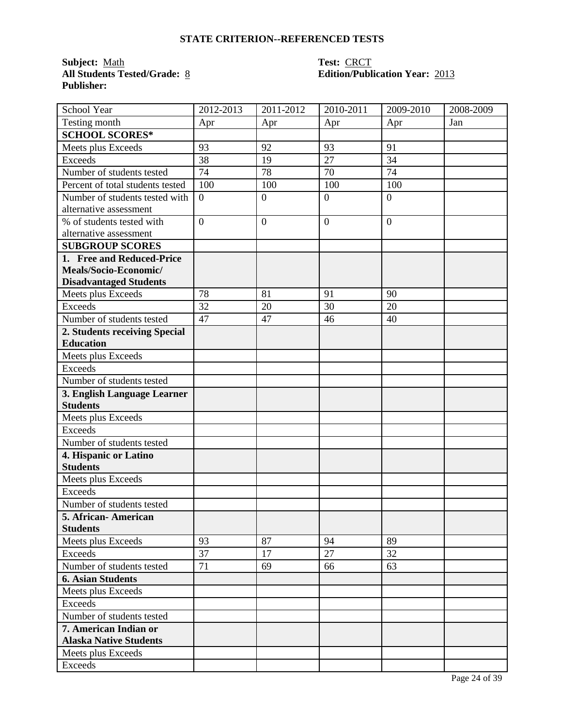**Subject:** Math<br>**All Students Tested/Grade:** <u>8</u> **Publisher:** 

# **Test: CRCT<br>Edition/Publication Year: 2013**

| School Year                      | 2012-2013      | $2011 - 2012$ | 2010-2011      | 2009-2010        | 2008-2009 |
|----------------------------------|----------------|---------------|----------------|------------------|-----------|
| Testing month                    | Apr            | Apr           | Apr            | Apr              | Jan       |
| <b>SCHOOL SCORES*</b>            |                |               |                |                  |           |
| Meets plus Exceeds               | 93             | 92            | 93             | 91               |           |
| <b>Exceeds</b>                   | 38             | 19            | 27             | 34               |           |
| Number of students tested        | 74             | 78            | 70             | 74               |           |
| Percent of total students tested | 100            | 100           | 100            | 100              |           |
| Number of students tested with   | $\overline{0}$ | $\mathbf{0}$  | $\overline{0}$ | $\overline{0}$   |           |
| alternative assessment           |                |               |                |                  |           |
| % of students tested with        | $\overline{0}$ | $\mathbf{0}$  | $\overline{0}$ | $\boldsymbol{0}$ |           |
| alternative assessment           |                |               |                |                  |           |
| <b>SUBGROUP SCORES</b>           |                |               |                |                  |           |
| 1. Free and Reduced-Price        |                |               |                |                  |           |
| Meals/Socio-Economic/            |                |               |                |                  |           |
| <b>Disadvantaged Students</b>    |                |               |                |                  |           |
| Meets plus Exceeds               | 78             | 81            | 91             | 90               |           |
| Exceeds                          | 32             | 20            | 30             | 20               |           |
| Number of students tested        | 47             | 47            | 46             | 40               |           |
| 2. Students receiving Special    |                |               |                |                  |           |
| <b>Education</b>                 |                |               |                |                  |           |
| Meets plus Exceeds               |                |               |                |                  |           |
| <b>Exceeds</b>                   |                |               |                |                  |           |
| Number of students tested        |                |               |                |                  |           |
| 3. English Language Learner      |                |               |                |                  |           |
| <b>Students</b>                  |                |               |                |                  |           |
| Meets plus Exceeds               |                |               |                |                  |           |
| <b>Exceeds</b>                   |                |               |                |                  |           |
| Number of students tested        |                |               |                |                  |           |
| 4. Hispanic or Latino            |                |               |                |                  |           |
| <b>Students</b>                  |                |               |                |                  |           |
| Meets plus Exceeds               |                |               |                |                  |           |
| <b>Exceeds</b>                   |                |               |                |                  |           |
| Number of students tested        |                |               |                |                  |           |
| 5. African-American              |                |               |                |                  |           |
| <b>Students</b>                  |                |               |                |                  |           |
| Meets plus Exceeds               | 93             | 87            | 94             | 89               |           |
| Exceeds                          | 37             | 17            | 27             | 32               |           |
| Number of students tested        | 71             | 69            | 66             | 63               |           |
| <b>6. Asian Students</b>         |                |               |                |                  |           |
| Meets plus Exceeds               |                |               |                |                  |           |
| Exceeds                          |                |               |                |                  |           |
| Number of students tested        |                |               |                |                  |           |
| 7. American Indian or            |                |               |                |                  |           |
| <b>Alaska Native Students</b>    |                |               |                |                  |           |
| Meets plus Exceeds               |                |               |                |                  |           |
| Exceeds                          |                |               |                |                  |           |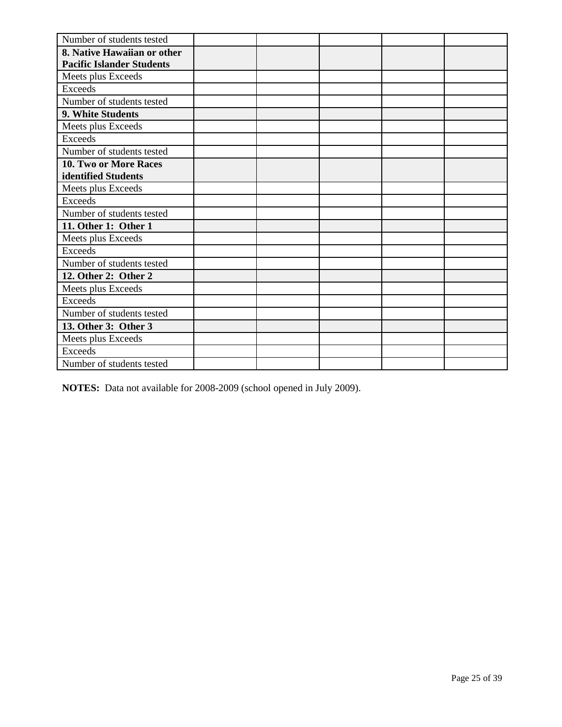| Number of students tested        |  |  |  |
|----------------------------------|--|--|--|
| 8. Native Hawaiian or other      |  |  |  |
| <b>Pacific Islander Students</b> |  |  |  |
| Meets plus Exceeds               |  |  |  |
| <b>Exceeds</b>                   |  |  |  |
| Number of students tested        |  |  |  |
| 9. White Students                |  |  |  |
| Meets plus Exceeds               |  |  |  |
| <b>Exceeds</b>                   |  |  |  |
| Number of students tested        |  |  |  |
| 10. Two or More Races            |  |  |  |
| identified Students              |  |  |  |
| Meets plus Exceeds               |  |  |  |
| Exceeds                          |  |  |  |
| Number of students tested        |  |  |  |
| 11. Other 1: Other 1             |  |  |  |
| Meets plus Exceeds               |  |  |  |
| Exceeds                          |  |  |  |
| Number of students tested        |  |  |  |
| 12. Other 2: Other 2             |  |  |  |
| Meets plus Exceeds               |  |  |  |
| <b>Exceeds</b>                   |  |  |  |
| Number of students tested        |  |  |  |
| 13. Other 3: Other 3             |  |  |  |
| Meets plus Exceeds               |  |  |  |
| <b>Exceeds</b>                   |  |  |  |
| Number of students tested        |  |  |  |

**NOTES:** Data not available for 2008-2009 (school opened in July 2009).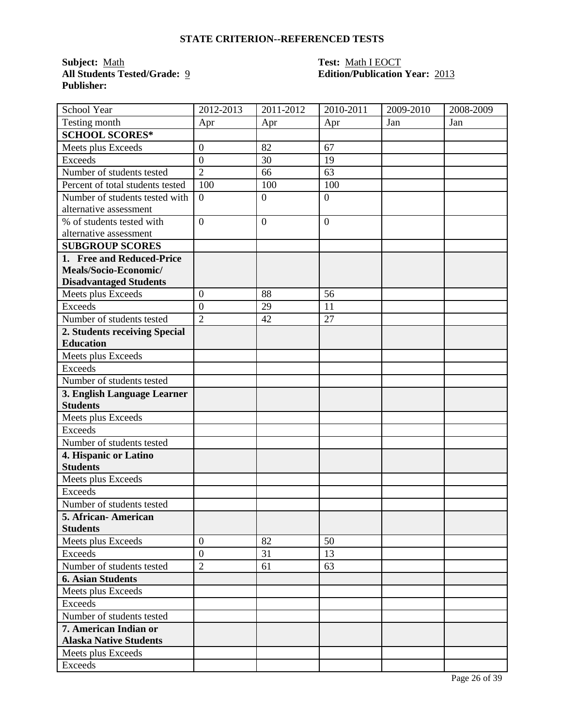**Subject:** <u>Math **Test:** Math I EOCT</u><br> **All Students Tested/Grade:** <u>9</u> **Call Students Tested/Grade:** 9 **Edition/Publication Publisher:** 

### **All Students Tested/Grade:** 9 **Edition/Publication Year:** 2013

| School Year                      | 2012-2013        | 2011-2012        | 2010-2011        | 2009-2010 | 2008-2009 |
|----------------------------------|------------------|------------------|------------------|-----------|-----------|
| Testing month                    | Apr              | Apr              | Apr              | Jan       | Jan       |
| <b>SCHOOL SCORES*</b>            |                  |                  |                  |           |           |
| Meets plus Exceeds               | $\boldsymbol{0}$ | 82               | 67               |           |           |
| <b>Exceeds</b>                   | $\boldsymbol{0}$ | 30               | 19               |           |           |
| Number of students tested        | $\overline{2}$   | 66               | 63               |           |           |
| Percent of total students tested | 100              | 100              | 100              |           |           |
| Number of students tested with   | $\overline{0}$   | $\boldsymbol{0}$ | $\boldsymbol{0}$ |           |           |
| alternative assessment           |                  |                  |                  |           |           |
| % of students tested with        | $\overline{0}$   | $\overline{0}$   | $\boldsymbol{0}$ |           |           |
| alternative assessment           |                  |                  |                  |           |           |
| <b>SUBGROUP SCORES</b>           |                  |                  |                  |           |           |
| 1. Free and Reduced-Price        |                  |                  |                  |           |           |
| Meals/Socio-Economic/            |                  |                  |                  |           |           |
| <b>Disadvantaged Students</b>    |                  |                  |                  |           |           |
| Meets plus Exceeds               | $\boldsymbol{0}$ | 88               | 56               |           |           |
| <b>Exceeds</b>                   | $\overline{0}$   | 29               | 11               |           |           |
| Number of students tested        | $\overline{2}$   | 42               | 27               |           |           |
| 2. Students receiving Special    |                  |                  |                  |           |           |
| <b>Education</b>                 |                  |                  |                  |           |           |
| Meets plus Exceeds               |                  |                  |                  |           |           |
| <b>Exceeds</b>                   |                  |                  |                  |           |           |
| Number of students tested        |                  |                  |                  |           |           |
| 3. English Language Learner      |                  |                  |                  |           |           |
| <b>Students</b>                  |                  |                  |                  |           |           |
| Meets plus Exceeds               |                  |                  |                  |           |           |
| <b>Exceeds</b>                   |                  |                  |                  |           |           |
| Number of students tested        |                  |                  |                  |           |           |
| 4. Hispanic or Latino            |                  |                  |                  |           |           |
| <b>Students</b>                  |                  |                  |                  |           |           |
| Meets plus Exceeds               |                  |                  |                  |           |           |
| <b>Exceeds</b>                   |                  |                  |                  |           |           |
| Number of students tested        |                  |                  |                  |           |           |
| 5. African- American             |                  |                  |                  |           |           |
| <b>Students</b>                  |                  |                  |                  |           |           |
| Meets plus Exceeds               | $\boldsymbol{0}$ | 82               | 50               |           |           |
| <b>Exceeds</b>                   | $\overline{0}$   | 31               | 13               |           |           |
| Number of students tested        | $\overline{2}$   | 61               | 63               |           |           |
| <b>6. Asian Students</b>         |                  |                  |                  |           |           |
| Meets plus Exceeds               |                  |                  |                  |           |           |
| Exceeds                          |                  |                  |                  |           |           |
| Number of students tested        |                  |                  |                  |           |           |
| 7. American Indian or            |                  |                  |                  |           |           |
| <b>Alaska Native Students</b>    |                  |                  |                  |           |           |
| Meets plus Exceeds               |                  |                  |                  |           |           |
| Exceeds                          |                  |                  |                  |           |           |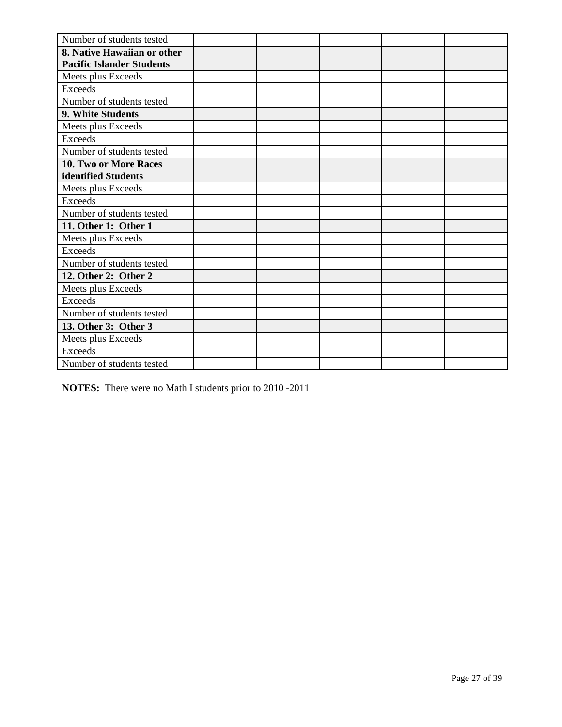| Number of students tested        |  |  |  |
|----------------------------------|--|--|--|
| 8. Native Hawaiian or other      |  |  |  |
| <b>Pacific Islander Students</b> |  |  |  |
| Meets plus Exceeds               |  |  |  |
| <b>Exceeds</b>                   |  |  |  |
| Number of students tested        |  |  |  |
| 9. White Students                |  |  |  |
| Meets plus Exceeds               |  |  |  |
| <b>Exceeds</b>                   |  |  |  |
| Number of students tested        |  |  |  |
| 10. Two or More Races            |  |  |  |
| identified Students              |  |  |  |
| Meets plus Exceeds               |  |  |  |
| Exceeds                          |  |  |  |
| Number of students tested        |  |  |  |
| 11. Other 1: Other 1             |  |  |  |
| Meets plus Exceeds               |  |  |  |
| Exceeds                          |  |  |  |
| Number of students tested        |  |  |  |
| 12. Other 2: Other 2             |  |  |  |
| Meets plus Exceeds               |  |  |  |
| Exceeds                          |  |  |  |
| Number of students tested        |  |  |  |
| 13. Other 3: Other 3             |  |  |  |
| Meets plus Exceeds               |  |  |  |
| <b>Exceeds</b>                   |  |  |  |
| Number of students tested        |  |  |  |

**NOTES:** There were no Math I students prior to 2010 -2011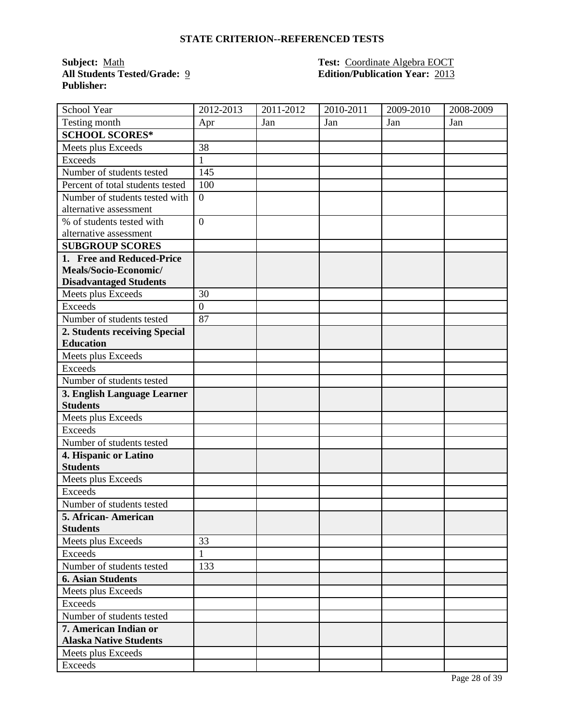**Publisher:** 

#### **Subject:** Math **Test:** Coordinate Algebra EOCT **All Students Tested/Grade:** 9 **Edition/Publication Year:** 2013

| School Year                      | 2012-2013        | 2011-2012 | 2010-2011 | 2009-2010 | 2008-2009 |
|----------------------------------|------------------|-----------|-----------|-----------|-----------|
| Testing month                    | Apr              | Jan       | Jan       | Jan       | Jan       |
| <b>SCHOOL SCORES*</b>            |                  |           |           |           |           |
| Meets plus Exceeds               | 38               |           |           |           |           |
| <b>Exceeds</b>                   | $\mathbf{1}$     |           |           |           |           |
| Number of students tested        | 145              |           |           |           |           |
| Percent of total students tested | 10 <sub>0</sub>  |           |           |           |           |
| Number of students tested with   | $\boldsymbol{0}$ |           |           |           |           |
| alternative assessment           |                  |           |           |           |           |
| % of students tested with        | $\overline{0}$   |           |           |           |           |
| alternative assessment           |                  |           |           |           |           |
| <b>SUBGROUP SCORES</b>           |                  |           |           |           |           |
| 1. Free and Reduced-Price        |                  |           |           |           |           |
| Meals/Socio-Economic/            |                  |           |           |           |           |
| <b>Disadvantaged Students</b>    |                  |           |           |           |           |
| Meets plus Exceeds               | 30               |           |           |           |           |
| Exceeds                          | $\overline{0}$   |           |           |           |           |
| Number of students tested        | 87               |           |           |           |           |
| 2. Students receiving Special    |                  |           |           |           |           |
| <b>Education</b>                 |                  |           |           |           |           |
| Meets plus Exceeds               |                  |           |           |           |           |
| <b>Exceeds</b>                   |                  |           |           |           |           |
| Number of students tested        |                  |           |           |           |           |
| 3. English Language Learner      |                  |           |           |           |           |
| <b>Students</b>                  |                  |           |           |           |           |
| Meets plus Exceeds               |                  |           |           |           |           |
| <b>Exceeds</b>                   |                  |           |           |           |           |
| Number of students tested        |                  |           |           |           |           |
| 4. Hispanic or Latino            |                  |           |           |           |           |
| <b>Students</b>                  |                  |           |           |           |           |
| Meets plus Exceeds               |                  |           |           |           |           |
| <b>Exceeds</b>                   |                  |           |           |           |           |
| Number of students tested        |                  |           |           |           |           |
| 5. African-American              |                  |           |           |           |           |
| <b>Students</b>                  |                  |           |           |           |           |
| Meets plus Exceeds               | 33               |           |           |           |           |
| <b>Exceeds</b>                   | $\mathbf{1}$     |           |           |           |           |
| Number of students tested        | 133              |           |           |           |           |
| <b>6. Asian Students</b>         |                  |           |           |           |           |
| Meets plus Exceeds               |                  |           |           |           |           |
| <b>Exceeds</b>                   |                  |           |           |           |           |
| Number of students tested        |                  |           |           |           |           |
| 7. American Indian or            |                  |           |           |           |           |
| <b>Alaska Native Students</b>    |                  |           |           |           |           |
| Meets plus Exceeds               |                  |           |           |           |           |
| Exceeds                          |                  |           |           |           |           |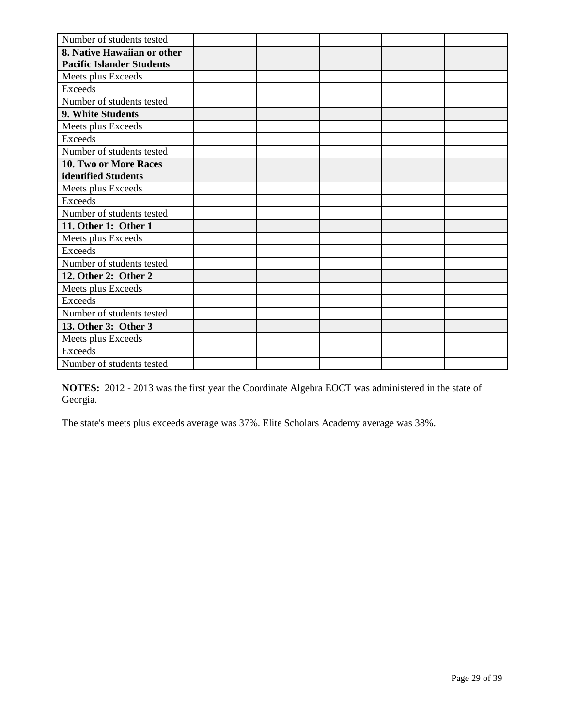| Number of students tested        |  |  |  |
|----------------------------------|--|--|--|
| 8. Native Hawaiian or other      |  |  |  |
| <b>Pacific Islander Students</b> |  |  |  |
| Meets plus Exceeds               |  |  |  |
| <b>Exceeds</b>                   |  |  |  |
| Number of students tested        |  |  |  |
| 9. White Students                |  |  |  |
| Meets plus Exceeds               |  |  |  |
| Exceeds                          |  |  |  |
| Number of students tested        |  |  |  |
| 10. Two or More Races            |  |  |  |
| identified Students              |  |  |  |
| Meets plus Exceeds               |  |  |  |
| Exceeds                          |  |  |  |
| Number of students tested        |  |  |  |
| 11. Other 1: Other 1             |  |  |  |
| Meets plus Exceeds               |  |  |  |
| <b>Exceeds</b>                   |  |  |  |
| Number of students tested        |  |  |  |
| 12. Other 2: Other 2             |  |  |  |
| Meets plus Exceeds               |  |  |  |
| Exceeds                          |  |  |  |
| Number of students tested        |  |  |  |
| 13. Other 3: Other 3             |  |  |  |
| Meets plus Exceeds               |  |  |  |
| <b>Exceeds</b>                   |  |  |  |
| Number of students tested        |  |  |  |

**NOTES:** 2012 - 2013 was the first year the Coordinate Algebra EOCT was administered in the state of Georgia.

The state's meets plus exceeds average was 37%. Elite Scholars Academy average was 38%.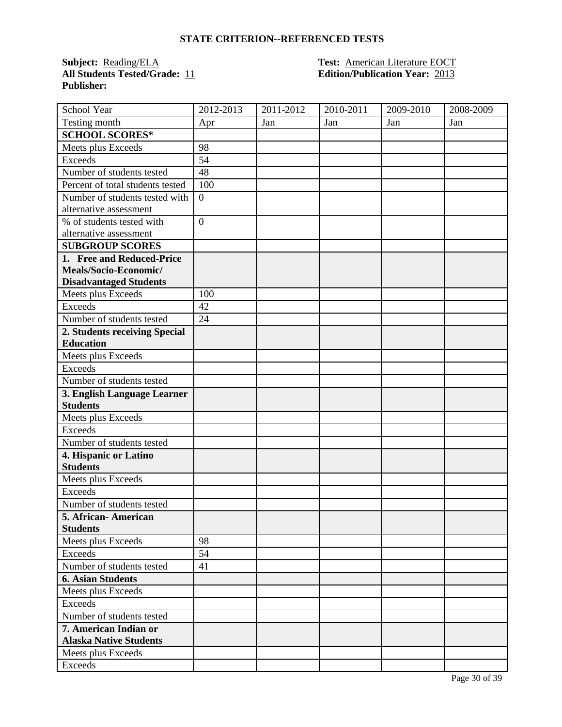**All Students Tested/Grade:** 11 **Edition/Publication Year:** 2013 **Publisher:** 

### **Subject:** Reading/ELA **Test:** American Literature EOCT

| School Year                      | 2012-2013      | 2011-2012 | 2010-2011 | 2009-2010 | 2008-2009 |
|----------------------------------|----------------|-----------|-----------|-----------|-----------|
| Testing month                    | Apr            | Jan       | Jan       | Jan       | Jan       |
| <b>SCHOOL SCORES*</b>            |                |           |           |           |           |
| Meets plus Exceeds               | 98             |           |           |           |           |
| <b>Exceeds</b>                   | 54             |           |           |           |           |
| Number of students tested        | 48             |           |           |           |           |
| Percent of total students tested | 100            |           |           |           |           |
| Number of students tested with   | $\overline{0}$ |           |           |           |           |
| alternative assessment           |                |           |           |           |           |
| % of students tested with        | $\overline{0}$ |           |           |           |           |
| alternative assessment           |                |           |           |           |           |
| <b>SUBGROUP SCORES</b>           |                |           |           |           |           |
| 1. Free and Reduced-Price        |                |           |           |           |           |
| Meals/Socio-Economic/            |                |           |           |           |           |
| <b>Disadvantaged Students</b>    |                |           |           |           |           |
| Meets plus Exceeds               | 100            |           |           |           |           |
| <b>Exceeds</b>                   | 42             |           |           |           |           |
| Number of students tested        | 24             |           |           |           |           |
| 2. Students receiving Special    |                |           |           |           |           |
| <b>Education</b>                 |                |           |           |           |           |
| Meets plus Exceeds               |                |           |           |           |           |
| <b>Exceeds</b>                   |                |           |           |           |           |
| Number of students tested        |                |           |           |           |           |
| 3. English Language Learner      |                |           |           |           |           |
| <b>Students</b>                  |                |           |           |           |           |
| Meets plus Exceeds               |                |           |           |           |           |
| <b>Exceeds</b>                   |                |           |           |           |           |
| Number of students tested        |                |           |           |           |           |
| 4. Hispanic or Latino            |                |           |           |           |           |
| <b>Students</b>                  |                |           |           |           |           |
| Meets plus Exceeds               |                |           |           |           |           |
| <b>Exceeds</b>                   |                |           |           |           |           |
| Number of students tested        |                |           |           |           |           |
| 5. African-American              |                |           |           |           |           |
| <b>Students</b>                  |                |           |           |           |           |
| Meets plus Exceeds               | 98             |           |           |           |           |
| <b>Exceeds</b>                   | 54             |           |           |           |           |
| Number of students tested        | 41             |           |           |           |           |
| <b>6. Asian Students</b>         |                |           |           |           |           |
| Meets plus Exceeds               |                |           |           |           |           |
| Exceeds                          |                |           |           |           |           |
| Number of students tested        |                |           |           |           |           |
| 7. American Indian or            |                |           |           |           |           |
| <b>Alaska Native Students</b>    |                |           |           |           |           |
| Meets plus Exceeds               |                |           |           |           |           |
| Exceeds                          |                |           |           |           |           |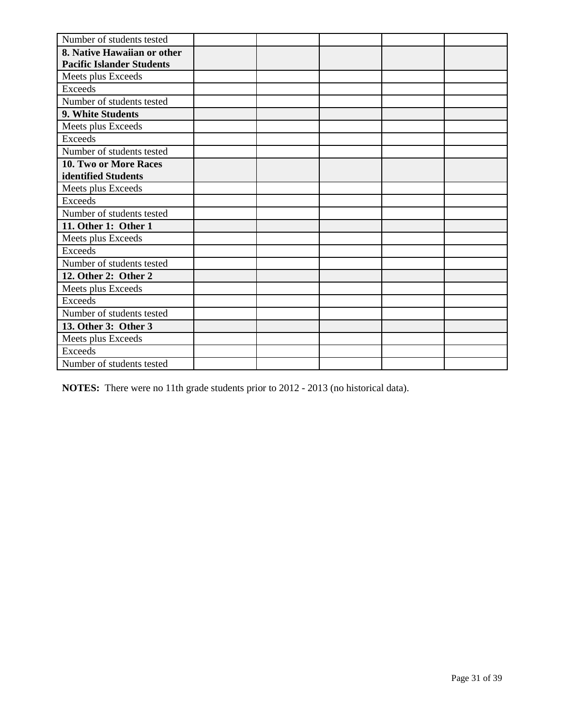| Number of students tested        |  |  |  |
|----------------------------------|--|--|--|
| 8. Native Hawaiian or other      |  |  |  |
| <b>Pacific Islander Students</b> |  |  |  |
| Meets plus Exceeds               |  |  |  |
| <b>Exceeds</b>                   |  |  |  |
| Number of students tested        |  |  |  |
| 9. White Students                |  |  |  |
| Meets plus Exceeds               |  |  |  |
| <b>Exceeds</b>                   |  |  |  |
| Number of students tested        |  |  |  |
| 10. Two or More Races            |  |  |  |
| identified Students              |  |  |  |
| Meets plus Exceeds               |  |  |  |
| Exceeds                          |  |  |  |
| Number of students tested        |  |  |  |
| 11. Other 1: Other 1             |  |  |  |
| Meets plus Exceeds               |  |  |  |
| Exceeds                          |  |  |  |
| Number of students tested        |  |  |  |
| 12. Other 2: Other 2             |  |  |  |
| Meets plus Exceeds               |  |  |  |
| <b>Exceeds</b>                   |  |  |  |
| Number of students tested        |  |  |  |
| 13. Other 3: Other 3             |  |  |  |
| Meets plus Exceeds               |  |  |  |
| <b>Exceeds</b>                   |  |  |  |
| Number of students tested        |  |  |  |

**NOTES:** There were no 11th grade students prior to 2012 - 2013 (no historical data).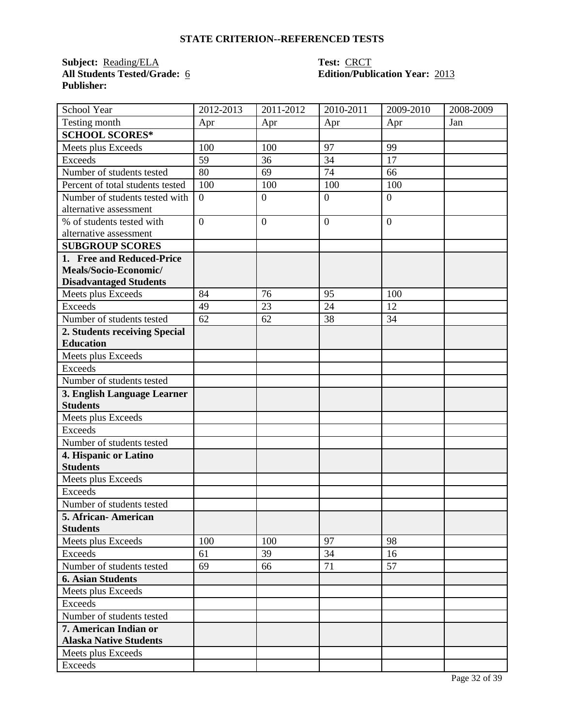**Subject: <u>Reading/ELA</u>**<br>**All Students Tested/Grade: 6 Publisher:** 

## **Test: CRCT<br>Edition/Publication Year: 2013**

| School Year                      | 2012-2013        | 2011-2012      | 2010-2011      | 2009-2010      | 2008-2009 |
|----------------------------------|------------------|----------------|----------------|----------------|-----------|
| Testing month                    | Apr              | Apr            | Apr            | Apr            | Jan       |
| <b>SCHOOL SCORES*</b>            |                  |                |                |                |           |
| Meets plus Exceeds               | 100              | 100            | 97             | 99             |           |
| <b>Exceeds</b>                   | 59               | 36             | 34             | 17             |           |
| Number of students tested        | 80               | 69             | 74             | 66             |           |
| Percent of total students tested | 100              | 100            | 100            | 100            |           |
| Number of students tested with   | $\boldsymbol{0}$ | $\mathbf{0}$   | $\overline{0}$ | $\overline{0}$ |           |
| alternative assessment           |                  |                |                |                |           |
| % of students tested with        | $\overline{0}$   | $\overline{0}$ | $\overline{0}$ | $\overline{0}$ |           |
| alternative assessment           |                  |                |                |                |           |
| <b>SUBGROUP SCORES</b>           |                  |                |                |                |           |
| 1. Free and Reduced-Price        |                  |                |                |                |           |
| Meals/Socio-Economic/            |                  |                |                |                |           |
| <b>Disadvantaged Students</b>    |                  |                |                |                |           |
| Meets plus Exceeds               | 84               | 76             | 95             | 100            |           |
| <b>Exceeds</b>                   | 49               | 23             | 24             | 12             |           |
| Number of students tested        | 62               | 62             | 38             | 34             |           |
| 2. Students receiving Special    |                  |                |                |                |           |
| <b>Education</b>                 |                  |                |                |                |           |
| Meets plus Exceeds               |                  |                |                |                |           |
| <b>Exceeds</b>                   |                  |                |                |                |           |
| Number of students tested        |                  |                |                |                |           |
| 3. English Language Learner      |                  |                |                |                |           |
| <b>Students</b>                  |                  |                |                |                |           |
| Meets plus Exceeds               |                  |                |                |                |           |
| <b>Exceeds</b>                   |                  |                |                |                |           |
| Number of students tested        |                  |                |                |                |           |
| 4. Hispanic or Latino            |                  |                |                |                |           |
| <b>Students</b>                  |                  |                |                |                |           |
| Meets plus Exceeds               |                  |                |                |                |           |
| <b>Exceeds</b>                   |                  |                |                |                |           |
| Number of students tested        |                  |                |                |                |           |
| 5. African-American              |                  |                |                |                |           |
| <b>Students</b>                  |                  |                |                |                |           |
| Meets plus Exceeds               | 100              | 100            | 97             | 98             |           |
| Exceeds                          | 61               | 39             | 34             | 16             |           |
| Number of students tested        | 69               | 66             | 71             | 57             |           |
| <b>6. Asian Students</b>         |                  |                |                |                |           |
| Meets plus Exceeds               |                  |                |                |                |           |
| Exceeds                          |                  |                |                |                |           |
| Number of students tested        |                  |                |                |                |           |
| 7. American Indian or            |                  |                |                |                |           |
| <b>Alaska Native Students</b>    |                  |                |                |                |           |
| Meets plus Exceeds               |                  |                |                |                |           |
| Exceeds                          |                  |                |                |                |           |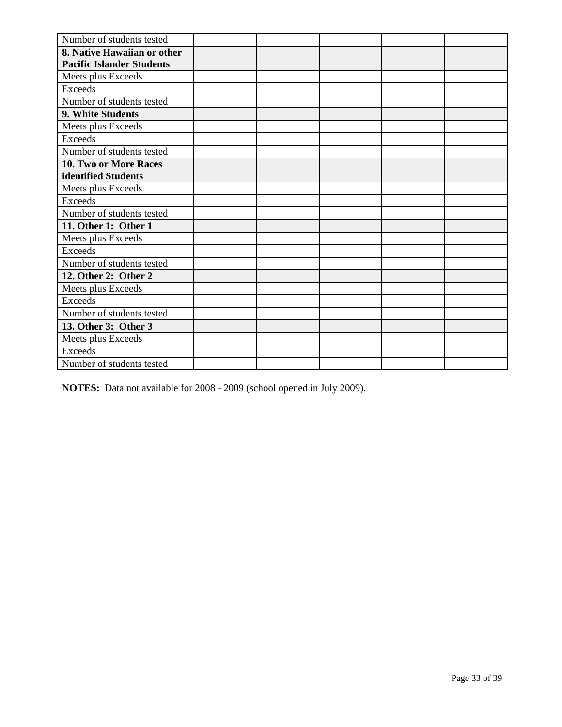| Number of students tested        |  |  |  |
|----------------------------------|--|--|--|
| 8. Native Hawaiian or other      |  |  |  |
| <b>Pacific Islander Students</b> |  |  |  |
| Meets plus Exceeds               |  |  |  |
| <b>Exceeds</b>                   |  |  |  |
| Number of students tested        |  |  |  |
| 9. White Students                |  |  |  |
| Meets plus Exceeds               |  |  |  |
| <b>Exceeds</b>                   |  |  |  |
| Number of students tested        |  |  |  |
| 10. Two or More Races            |  |  |  |
| identified Students              |  |  |  |
| Meets plus Exceeds               |  |  |  |
| Exceeds                          |  |  |  |
| Number of students tested        |  |  |  |
| 11. Other 1: Other 1             |  |  |  |
| Meets plus Exceeds               |  |  |  |
| Exceeds                          |  |  |  |
| Number of students tested        |  |  |  |
| 12. Other 2: Other 2             |  |  |  |
| Meets plus Exceeds               |  |  |  |
| <b>Exceeds</b>                   |  |  |  |
| Number of students tested        |  |  |  |
| 13. Other 3: Other 3             |  |  |  |
| Meets plus Exceeds               |  |  |  |
| <b>Exceeds</b>                   |  |  |  |
| Number of students tested        |  |  |  |

**NOTES:** Data not available for 2008 - 2009 (school opened in July 2009).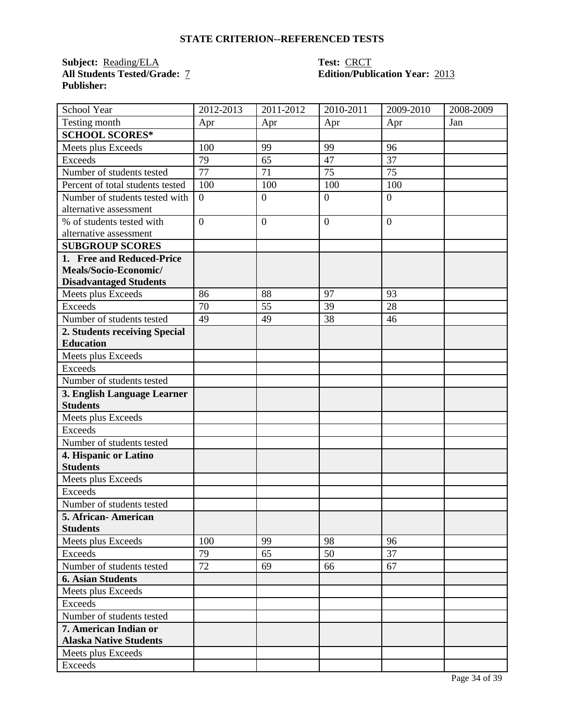**Subject:** <u>Reading/ELA</u><br>All Students Tested/Grade: 7 **Publisher:** 

## **Test: CRCT<br>Edition/Publication Year: 2013**

| School Year                      | 2012-2013      | 2011-2012      | 2010-2011      | 2009-2010      | 2008-2009 |
|----------------------------------|----------------|----------------|----------------|----------------|-----------|
| Testing month                    | Apr            | Apr            | Apr            | Apr            | Jan       |
| <b>SCHOOL SCORES*</b>            |                |                |                |                |           |
| Meets plus Exceeds               | 100            | 99             | 99             | 96             |           |
| <b>Exceeds</b>                   | 79             | 65             | 47             | 37             |           |
| Number of students tested        | 77             | 71             | 75             | 75             |           |
| Percent of total students tested | 100            | 100            | 100            | 100            |           |
| Number of students tested with   | $\overline{0}$ | $\mathbf{0}$   | $\overline{0}$ | $\overline{0}$ |           |
| alternative assessment           |                |                |                |                |           |
| % of students tested with        | $\overline{0}$ | $\overline{0}$ | $\mathbf{0}$   | $\overline{0}$ |           |
| alternative assessment           |                |                |                |                |           |
| <b>SUBGROUP SCORES</b>           |                |                |                |                |           |
| 1. Free and Reduced-Price        |                |                |                |                |           |
| Meals/Socio-Economic/            |                |                |                |                |           |
| <b>Disadvantaged Students</b>    |                |                |                |                |           |
| Meets plus Exceeds               | 86             | 88             | 97             | 93             |           |
| <b>Exceeds</b>                   | 70             | 55             | 39             | 28             |           |
| Number of students tested        | 49             | 49             | 38             | 46             |           |
| 2. Students receiving Special    |                |                |                |                |           |
| <b>Education</b>                 |                |                |                |                |           |
| Meets plus Exceeds               |                |                |                |                |           |
| <b>Exceeds</b>                   |                |                |                |                |           |
| Number of students tested        |                |                |                |                |           |
| 3. English Language Learner      |                |                |                |                |           |
| <b>Students</b>                  |                |                |                |                |           |
| Meets plus Exceeds               |                |                |                |                |           |
| <b>Exceeds</b>                   |                |                |                |                |           |
| Number of students tested        |                |                |                |                |           |
| 4. Hispanic or Latino            |                |                |                |                |           |
| <b>Students</b>                  |                |                |                |                |           |
| Meets plus Exceeds               |                |                |                |                |           |
| <b>Exceeds</b>                   |                |                |                |                |           |
| Number of students tested        |                |                |                |                |           |
| 5. African-American              |                |                |                |                |           |
| <b>Students</b>                  |                |                |                |                |           |
| Meets plus Exceeds               | 100            | 99             | 98             | 96             |           |
| <b>Exceeds</b>                   | 79             | 65             | 50             | 37             |           |
| Number of students tested        | 72             | 69             | 66             | 67             |           |
| <b>6. Asian Students</b>         |                |                |                |                |           |
| Meets plus Exceeds               |                |                |                |                |           |
| Exceeds                          |                |                |                |                |           |
| Number of students tested        |                |                |                |                |           |
| 7. American Indian or            |                |                |                |                |           |
| <b>Alaska Native Students</b>    |                |                |                |                |           |
| Meets plus Exceeds               |                |                |                |                |           |
| Exceeds                          |                |                |                |                |           |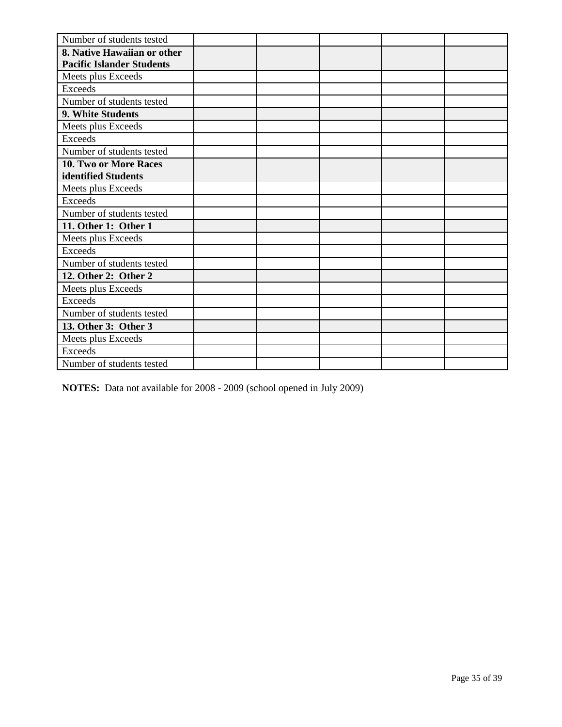| Number of students tested        |  |  |  |
|----------------------------------|--|--|--|
| 8. Native Hawaiian or other      |  |  |  |
| <b>Pacific Islander Students</b> |  |  |  |
| Meets plus Exceeds               |  |  |  |
| <b>Exceeds</b>                   |  |  |  |
| Number of students tested        |  |  |  |
| 9. White Students                |  |  |  |
| Meets plus Exceeds               |  |  |  |
| <b>Exceeds</b>                   |  |  |  |
| Number of students tested        |  |  |  |
| 10. Two or More Races            |  |  |  |
| identified Students              |  |  |  |
| Meets plus Exceeds               |  |  |  |
| Exceeds                          |  |  |  |
| Number of students tested        |  |  |  |
| 11. Other 1: Other 1             |  |  |  |
| Meets plus Exceeds               |  |  |  |
| <b>Exceeds</b>                   |  |  |  |
| Number of students tested        |  |  |  |
| 12. Other 2: Other 2             |  |  |  |
| Meets plus Exceeds               |  |  |  |
| Exceeds                          |  |  |  |
| Number of students tested        |  |  |  |
| 13. Other 3: Other 3             |  |  |  |
| Meets plus Exceeds               |  |  |  |
| <b>Exceeds</b>                   |  |  |  |
| Number of students tested        |  |  |  |

**NOTES:** Data not available for 2008 - 2009 (school opened in July 2009)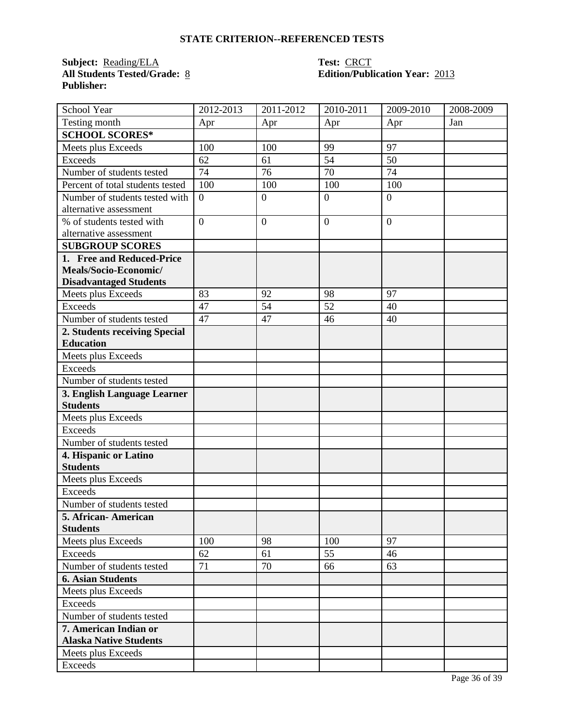**Subject: <u>Reading/ELA</u>**<br>**All Students Tested/Grade: <u>8</u> Publisher:** 

## **Test: CRCT<br>Edition/Publication Year: 2013**

| School Year                      | 2012-2013      | 2011-2012      | 2010-2011      | 2009-2010      | 2008-2009 |
|----------------------------------|----------------|----------------|----------------|----------------|-----------|
| Testing month                    | Apr            | Apr            | Apr            | Apr            | Jan       |
| <b>SCHOOL SCORES*</b>            |                |                |                |                |           |
| Meets plus Exceeds               | 100            | 100            | 99             | 97             |           |
| <b>Exceeds</b>                   | 62             | 61             | 54             | 50             |           |
| Number of students tested        | 74             | 76             | 70             | 74             |           |
| Percent of total students tested | 100            | 100            | 100            | 100            |           |
| Number of students tested with   | $\overline{0}$ | $\mathbf{0}$   | $\overline{0}$ | $\overline{0}$ |           |
| alternative assessment           |                |                |                |                |           |
| % of students tested with        | $\overline{0}$ | $\overline{0}$ | $\mathbf{0}$   | $\overline{0}$ |           |
| alternative assessment           |                |                |                |                |           |
| <b>SUBGROUP SCORES</b>           |                |                |                |                |           |
| 1. Free and Reduced-Price        |                |                |                |                |           |
| Meals/Socio-Economic/            |                |                |                |                |           |
| <b>Disadvantaged Students</b>    |                |                |                |                |           |
| Meets plus Exceeds               | 83             | 92             | 98             | 97             |           |
| <b>Exceeds</b>                   | 47             | 54             | 52             | 40             |           |
| Number of students tested        | 47             | 47             | 46             | 40             |           |
| 2. Students receiving Special    |                |                |                |                |           |
| <b>Education</b>                 |                |                |                |                |           |
| Meets plus Exceeds               |                |                |                |                |           |
| <b>Exceeds</b>                   |                |                |                |                |           |
| Number of students tested        |                |                |                |                |           |
| 3. English Language Learner      |                |                |                |                |           |
| <b>Students</b>                  |                |                |                |                |           |
| Meets plus Exceeds               |                |                |                |                |           |
| <b>Exceeds</b>                   |                |                |                |                |           |
| Number of students tested        |                |                |                |                |           |
| 4. Hispanic or Latino            |                |                |                |                |           |
| <b>Students</b>                  |                |                |                |                |           |
| Meets plus Exceeds               |                |                |                |                |           |
| <b>Exceeds</b>                   |                |                |                |                |           |
| Number of students tested        |                |                |                |                |           |
| 5. African-American              |                |                |                |                |           |
| <b>Students</b>                  |                |                |                |                |           |
| Meets plus Exceeds               | 100            | 98             | 100            | 97             |           |
| <b>Exceeds</b>                   | 62             | 61             | 55             | 46             |           |
| Number of students tested        | 71             | 70             | 66             | 63             |           |
| <b>6. Asian Students</b>         |                |                |                |                |           |
| Meets plus Exceeds               |                |                |                |                |           |
| Exceeds                          |                |                |                |                |           |
| Number of students tested        |                |                |                |                |           |
| 7. American Indian or            |                |                |                |                |           |
| <b>Alaska Native Students</b>    |                |                |                |                |           |
| Meets plus Exceeds               |                |                |                |                |           |
| Exceeds                          |                |                |                |                |           |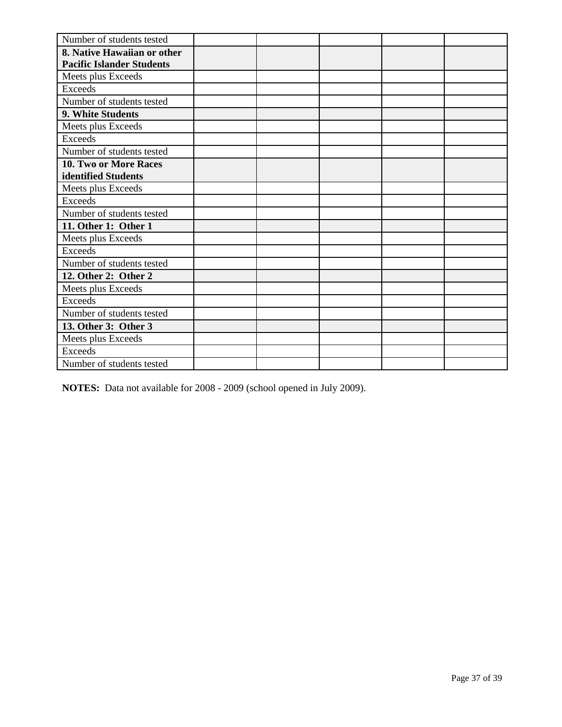| Number of students tested        |  |  |  |
|----------------------------------|--|--|--|
| 8. Native Hawaiian or other      |  |  |  |
| <b>Pacific Islander Students</b> |  |  |  |
| Meets plus Exceeds               |  |  |  |
| <b>Exceeds</b>                   |  |  |  |
| Number of students tested        |  |  |  |
| 9. White Students                |  |  |  |
| Meets plus Exceeds               |  |  |  |
| <b>Exceeds</b>                   |  |  |  |
| Number of students tested        |  |  |  |
| 10. Two or More Races            |  |  |  |
| identified Students              |  |  |  |
| Meets plus Exceeds               |  |  |  |
| Exceeds                          |  |  |  |
| Number of students tested        |  |  |  |
| 11. Other 1: Other 1             |  |  |  |
| Meets plus Exceeds               |  |  |  |
| Exceeds                          |  |  |  |
| Number of students tested        |  |  |  |
| 12. Other 2: Other 2             |  |  |  |
| Meets plus Exceeds               |  |  |  |
| <b>Exceeds</b>                   |  |  |  |
| Number of students tested        |  |  |  |
| 13. Other 3: Other 3             |  |  |  |
| Meets plus Exceeds               |  |  |  |
| <b>Exceeds</b>                   |  |  |  |
| Number of students tested        |  |  |  |

**NOTES:** Data not available for 2008 - 2009 (school opened in July 2009).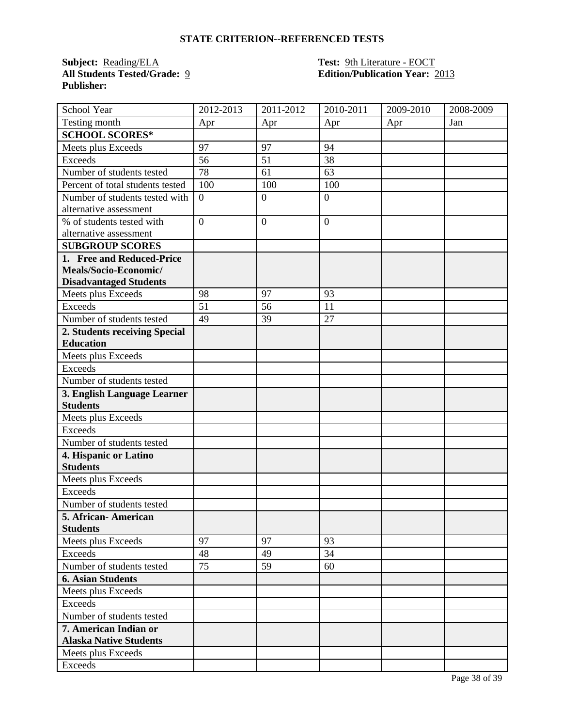**Subject:** <u>Reading/ELA</u><br>**All Students Tested/Grade:** 9 **Publisher:** 

## **Test: 9th Literature - EOCT<br>
<b>Edition/Publication Year:**  2013

| School Year                      | 2012-2013        | 2011-2012    | 2010-2011      | 2009-2010 | 2008-2009 |
|----------------------------------|------------------|--------------|----------------|-----------|-----------|
| Testing month                    | Apr              | Apr          | Apr            | Apr       | Jan       |
| <b>SCHOOL SCORES*</b>            |                  |              |                |           |           |
| Meets plus Exceeds               | 97               | 97           | 94             |           |           |
| <b>Exceeds</b>                   | 56               | 51           | 38             |           |           |
| Number of students tested        | 78               | 61           | 63             |           |           |
| Percent of total students tested | 100              | 100          | 100            |           |           |
| Number of students tested with   | $\boldsymbol{0}$ | $\mathbf{0}$ | $\overline{0}$ |           |           |
| alternative assessment           |                  |              |                |           |           |
| % of students tested with        | $\overline{0}$   | $\mathbf{0}$ | $\mathbf{0}$   |           |           |
| alternative assessment           |                  |              |                |           |           |
| <b>SUBGROUP SCORES</b>           |                  |              |                |           |           |
| 1. Free and Reduced-Price        |                  |              |                |           |           |
| Meals/Socio-Economic/            |                  |              |                |           |           |
| <b>Disadvantaged Students</b>    |                  |              |                |           |           |
| Meets plus Exceeds               | 98               | 97           | 93             |           |           |
| <b>Exceeds</b>                   | 51               | 56           | 11             |           |           |
| Number of students tested        | 49               | 39           | 27             |           |           |
| 2. Students receiving Special    |                  |              |                |           |           |
| <b>Education</b>                 |                  |              |                |           |           |
| Meets plus Exceeds               |                  |              |                |           |           |
| <b>Exceeds</b>                   |                  |              |                |           |           |
| Number of students tested        |                  |              |                |           |           |
| 3. English Language Learner      |                  |              |                |           |           |
| <b>Students</b>                  |                  |              |                |           |           |
| Meets plus Exceeds               |                  |              |                |           |           |
| <b>Exceeds</b>                   |                  |              |                |           |           |
| Number of students tested        |                  |              |                |           |           |
| 4. Hispanic or Latino            |                  |              |                |           |           |
| <b>Students</b>                  |                  |              |                |           |           |
| Meets plus Exceeds               |                  |              |                |           |           |
| Exceeds                          |                  |              |                |           |           |
| Number of students tested        |                  |              |                |           |           |
| 5. African- American             |                  |              |                |           |           |
| <b>Students</b>                  |                  |              |                |           |           |
| Meets plus Exceeds               | 97               | 97           | 93             |           |           |
| <b>Exceeds</b>                   | 48               | 49           | 34             |           |           |
| Number of students tested        | 75               | 59           | 60             |           |           |
| <b>6. Asian Students</b>         |                  |              |                |           |           |
| Meets plus Exceeds               |                  |              |                |           |           |
| Exceeds                          |                  |              |                |           |           |
| Number of students tested        |                  |              |                |           |           |
| 7. American Indian or            |                  |              |                |           |           |
| <b>Alaska Native Students</b>    |                  |              |                |           |           |
| Meets plus Exceeds               |                  |              |                |           |           |
| Exceeds                          |                  |              |                |           |           |